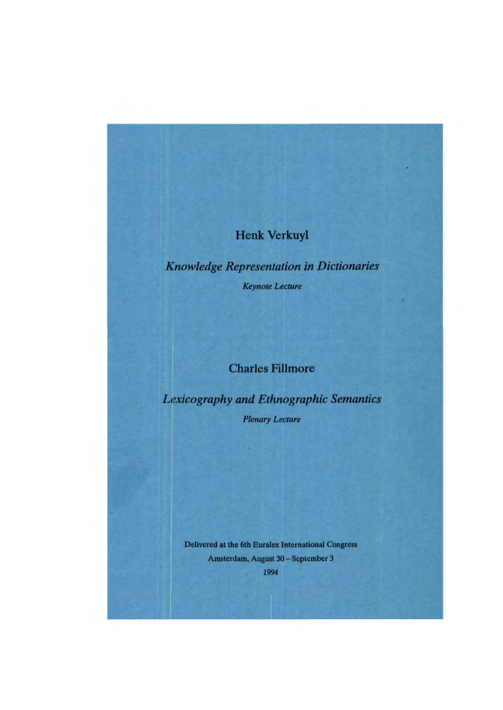# Henk Verkuyl

*Knowledge Representation in Dictionaries Keynote* Lecture

# Charles Fillmore

*Lexieography and Ethnographic Semantics Plenary* Lecture

Delivered at the 6th Euralex International Congress Amsterdam, August 30 - September 3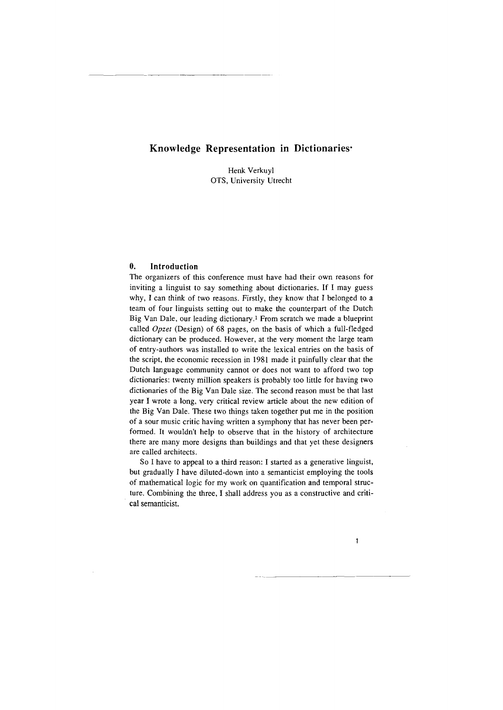# **Knowledge Representation in Dictionaries·**

Henk Verkuyl OTS, University Utrecht

# **0. Introduction**

The organizers of this conference must have had their own reasons for inviting a linguist to say something about dictionaries. If I may guess why, I can think of two reasons. Firstly, they know that I belonged to a team of four linguists setting out to make the counterpart of the Dutch Big Van Dale, our leading dictionary.I From scratch we made a blueprint called *Opzet* (Design) of 68 pages, on the basis of which a full-fledged dictionary can be produced. However, at the very moment the large team of entry-authors was installed to write the lexical entries on the basis of the script, the economic recession in 1981 made it painfully clear that the Dutch language community cannot or does not want to afford two top dictionaries: twenty million speakers is probably too little for having two dictionaries of the Big Van Dale size. The second reason must be that last year I wrote a long, very critical review article about the new edition of the Big Van Dale. These two things taken together put me in the position of a sour music critic having written a symphony that has never been performed. It wouldn't help to observe that in the history of architecture there are many more designs than buildings and that yet these designers are called architects.

So I have to appeal to a third reason: I started as a generative linguist, but gradually I have diluted-down into a semanticist employing the tools of mathematical logic for my work on quantification and temporal structure. Combining the three, I shall address you as a constructive and criti- . cal semanticist.

 $\mathbf{1}$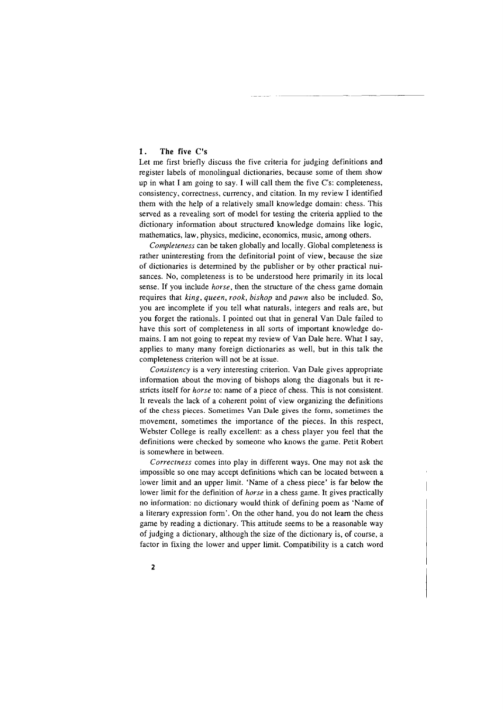# 1. The five C's

Let me first briefly discuss the five criteria for judging definitions and register labels of monolingual dictionaries, because some of them show up in what I am going to say. I will call them the five C's: completeness, consistency, correctness, currency, and citation. In my review I identified them with the help of a relatively small knowledge domain: chess. This served as a revealing sort of model for testing the criteria applied to the dictionary information about structured knowledge domains like logic, mathematics, law, physics, medicine, economics, music, among others.

*Completeness* can be taken globally and locally. Global completeness is rather uninteresting from the definitorial point of view, because the size of dictionaries is determined by the publisher or by other practical nuisances. No, completeness is to be understood here primarily in its local sense. If you include *horse,* then the structure of the chess game domain requires that *king, queen, rook, bishop* and *pawn* also be included. So, you are incomplete if you tell what naturals, integers and reals are, but you forget the rationals. I pointed out that in general Van Dale failed to have this sort of completeness in all sorts of important knowledge domains. I am not going to repeat my review of Van Dale here. What I say, applies to many many foreign dictionaries as well, but in this talk the completeness criterion will not be at issue.

*Consistency* is a very interesting criterion. Van Dale gives appropriate information about the moving of bishops along the diagonals but it restricts itself for *horse* to: name of a piece of chess. This is not consistent. It reveals the lack of a coherent point of view organizing the definitions of the chess pieces. Sometimes Van Dale gives the form, sometimes the movement, sometimes the importance of the pieces. In this respect, Webster College is really excellent: as a chess player you feel that the definitions were checked by someone who knows the game. Petit Robert is somewhere in between.

*Correctness* comes into play in different ways. One may not ask the impossible so one may accept definitions which can be located between a lower limit and an upper limit. 'Name of a chess piece' is far below the lower limit for the definition of *horse* in a chess game. It gives practically no information: no dictionary would think of defining poem as 'Name of a literary expression form'. On the other hand, you do not learn the chess game by reading a dictionary. This attitude seems to be a reasonable way of judging a dictionary, although the size of the dictionary is, of course, a factor in fixing the lower and upper limit. Compatibility is a catch word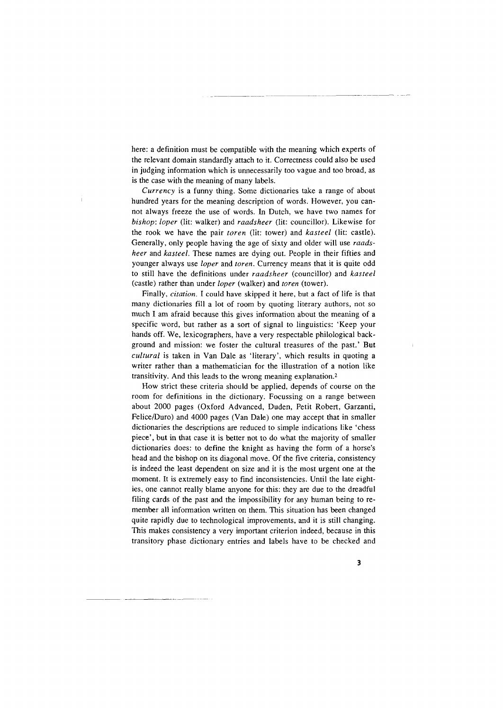here: a definition must be compatible with the meaning which experts of the relevant domain standardly attach to it. Correctness could also be used in judging information which is unnecessarily too vague and too broad, as is the case with the meaning of many labels.

*Currency* is a funny thing. Some dictionaries take a range of about hundred years for the meaning description of words. However, you cannot always freeze the use of words. In Dutch, we have two names for *bishop: loper* (lit: walker) and *raadsheer* (lit: councillor). Likewise for the rook we have the pair *toren* (lit: tower) and *kasteel* (lit: castle). Generally, only people having the age of sixty and older will use *raadsheer* and *kasteel.* These names are dying out. People in their fifties and younger always use *loper* and *toren.* Currency means that it is quite odd to still have the definitions under *raadsheer* (councillor) and *kasteel*  (castle) rather than under *loper* (walker) and *toren* (tower).

Finally, *citation.* I could have skipped it here, but a fact of life is that many dictionaries fill a lot of room by quoting literary authors, not so much I am afraid because this gives information about the meaning of a specific word, but rather as a sort of signal to linguistics: 'Keep your hands off. We, lexicographers, have a very respectable philological background and mission: we foster the cultural treasures of the past.' But *cultural* is taken in Van Dale as 'literary', which results in quoting a writer rather than a mathematician for the illustration of a notion like transitivity. And this leads to the wrong meaning explanation.2

How strict these criteria should be applied, depends of course on the room for definitions in the dictionary. Focussing on a range between about 2000 pages (Oxford Advanced, Duden, Petit Robert, Garzanti, Felice/Duro) and 4000 pages (Van Dale) one may accept that in smaller dictionaries the descriptions are reduced to simple indications like 'chess piece', but in that case it is better not to do what the majority of smaller dictionaries does: to define the knight as having the form of a horse's head and the bishop on its diagonal move. Of the five criteria, consistency is indeed the least dependent on size and it is the most urgent one at the moment. It is extremely easy to find inconsistencies. Until the late eighties, one cannot really blame anyone for this: they are due to the dreadful filing cards of the past and the impossibility for any human being to remember all information written on them. This situation has been changed quite rapidly due to technological improvements, and it is still changing. This makes consistency a very important criterion indeed, because in this transitory phase dictionary entries and labels have to be checked and

--~- ------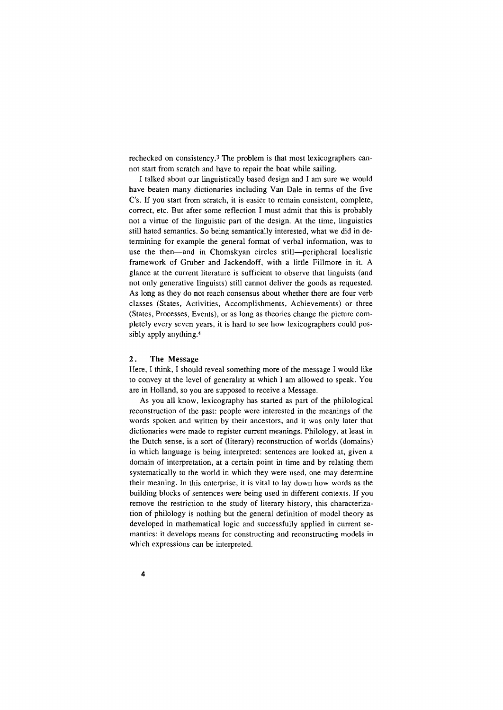rechecked on consistency.3 The problem is **that** most lexicographers cannot start from scratch and have to repair the boat while sailing.

I talked about our linguistically based design and I am sure we would have beaten many dictionaries including Van Dale in terms of the five C's. If you start from scratch, it is easier to remain consistent, complete, correct, etc. But after some reflection I must admit that this is probably not a virtue of the linguistic part of the design. At the time, linguistics still hated semantics. So being semantically interested, what we did in determining for example the general format of verbal information, was to use the then-and in Chomskyan circles still-peripheral localistic framework of Gruber and Jackendoff, with a little Fillmore in it. A glance at the current literature is sufficient to observe that linguists (and not only generative linguists) still cannot deliver the goods as requested. As long as they do not reach consensus about whether there are four verb classes (States, Activities, Accomplishments, Achievements) or three (States, Processes, Events), or as long as theories change the picture completely every seven years, it is hard to see how lexicographers could possibly apply anything.4

## **2. The** Message

Here, I think, I should reveal something more of the message I would like to convey at the level of generality at which I am allowed to speak. You are in Holland, so you are supposed to receive a Message.

As you all know, lexicography has started as part of the philological reconstruction of the past: people were interested in the meanings of the words spoken and written by their ancestors, and it was only later that dictionaries were made to register current meanings. Philology, at least in the Dutch sense, is a sort of (literary) reconstruction of worlds (domains) in which language is being interpreted: sentences are looked at, given a domain of interpretation, at a certain point in time and by relating them systematically to the world in which they were used, one may determine their meaning. In this enterprise, it is vital to lay down how words as the building blocks of sentences were being used in different contexts. If you remove the restriction to the study of literary history, this characterization of philology is nothing but the general definition of model theory as developed in mathematical logic and successfully applied in current semantics: it develops means for constructing and reconstructing models in which expressions can be interpreted.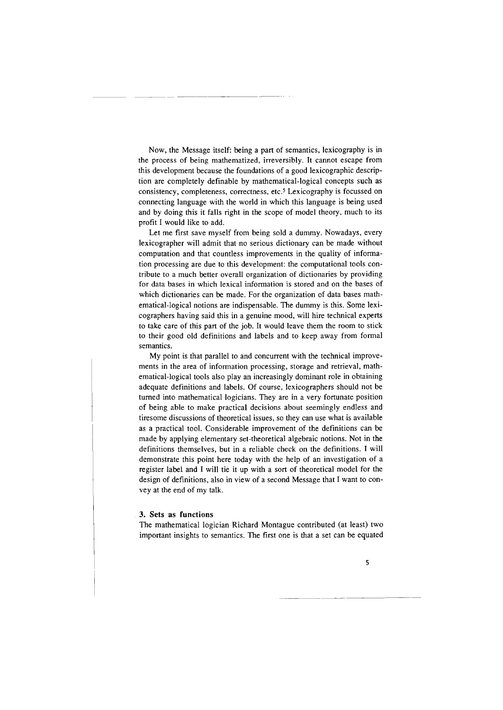Now, the Message itself: being a part of semantics, lexicography is in the process of being mathematized, irreversibly. It cannot escape from this development because the foundations of a good lexicographic description are completely definable by mathematical-logical concepts such as consistency, completeness, correctness, etc.<sup>5</sup> Lexicography is focussed on connecting language with the world in which this language is being used and by doing this it falls right in the scope of model theory, much to its profit I would like to add.

Let me first save myself from being sold a dummy. Nowadays, every lexicographer will admit that no serious dictionary can be made without computation and that countless improvements in the quality of information processing are due to this development: the computational tools contribute to a much better overall organization of dictionaries by providing for data bases in which lexical information is stored and on the bases of which dictionaries can be made. For the organization of data bases mathematical-logical notions are indispensable. The dummy is this. Some lexicographers having said this in a genuine mood, will hire technical experts to take care of this part of the job. It would leave them the room to stick to their good old definitions and labels and to keep away from formal semantics.

My point is that parallel to and concurrent with the technical improvements in the area of information processing, storage and retrieval, mathematical-logical tools also play an increasingly dominant role in obtaining adequate definitions and labels. Of course, lexicographers should not be turned into mathematical logicians. They are in a very fortunate position of being able to make practical decisions about seemingly endless and tiresome discussions of theoretical issues, so they can use what is available as a practical tool. Considerable improvement of the definitions can be made by applying elementary set-theoretical algebraic notions. Not in the definitions themselves, but in a reliable check on the definitions. I will demonstrate this point here today with the help of an investigation of a register label and I will tie it up with a sort of theoretical model for the design of definitions, also in view of a second Message that I want to convey at the end of my talk.

# **3. Sets as functions**

The mathematical logician Richard Montague contributed (at least) two important insights to semantics. The first one is that a set can be equated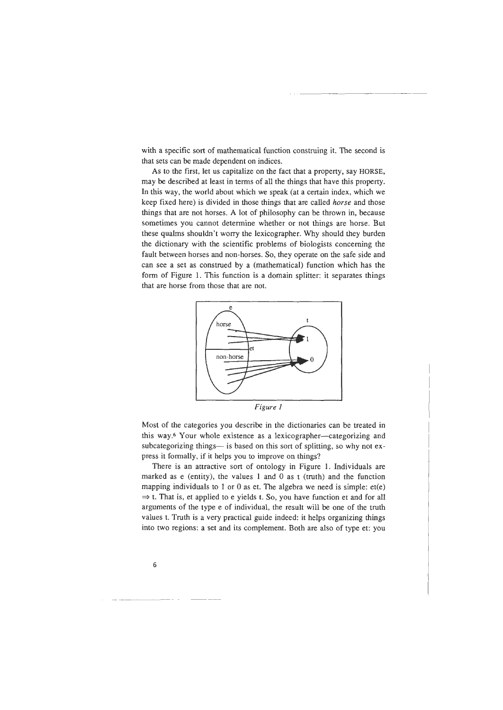with a specific sort of mathematical function construing it. The second is that sets can be made dependent on indices.

As to the first, let us capitalize on the fact that a property, say HORSE, may be described at least in terms of all the things that have this property. In this way, the world about which we speak (at a certain index, which we keep fixed here) is divided in those things that are called *horse* and those things that are not horses. A lot of philosophy can be thrown in, because sometimes you cannot determine whether or not things are horse. But these qualms shouldn't worry the lexicographer. Why should they burden the dictionary with the scientific problems of biologists concerning the fault between horses and non-horses. So, they operate on the safe side and can see a set as construed by a (mathematical) function which has the form of Figure 1. This function is a domain splitter: it separates things that are horse from those that are not.



*Figure 1* 

Most of the categories you describe in the dictionaries can be treated in this way.6 Your whole existence as a lexicographer--categorizing and subcategorizing things- is based on this sort of splitting, so why not express it formally, if it helps you to improve on things?

There is an attractive sort of ontology in Figure 1. Individuals are marked as e (entity), the values 1 and 0 as  $t$  (truth) and the function mapping individuals to 1 or 0 as et. The algebra we need is simple:  $et(e)$  $\Rightarrow$  t. That is, et applied to e yields t. So, you have function et and for all arguments of the type e of individual, the result will be one of the truth values t. Truth is a very practical guide indeed: it helps organizing things into two regions: a set and its complement. Both are also of type et: you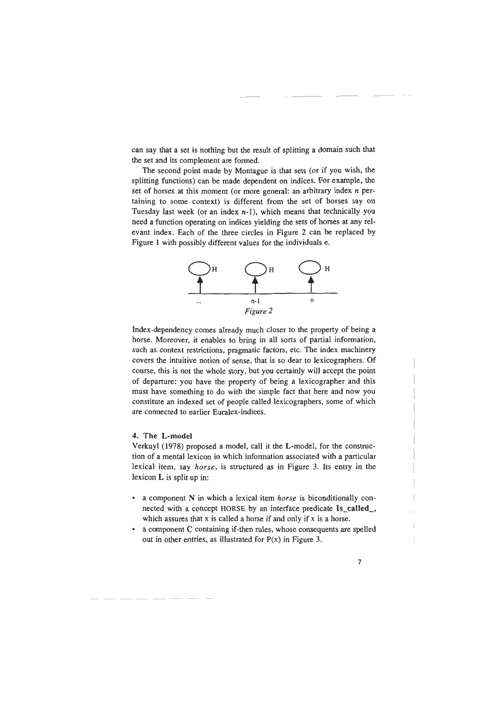can say that a set is nothing but the result of splitting a domain such that the set and its complement are formed.

The second point made by Montague is that sets (or if you wish, the splitting functions) can be made dependent on indices. For example, the set of horses at this moment (or more general: an arbitrary index *n* pertaining to some context) is different from the set of horses say on Tuesday last week (or an index  $n-1$ ), which means that technically you need a function operating on indices yielding the sets of horses at any relevant index. Each of the three circles in Figure 2 can be replaced by Figure 1 with possibly different values for the individuals e.



Index-dependency comes already much closer to the property of being a horse. Moreover, it enables to bring in all sorts of partial information, such as context restrictions, pragmatic factors, etc. The index machinery covers the intuitive notion of sense, that is so dear to lexicographers. Of course, this is not the whole story, but you certainly will accept the point of departure: you have the property of being a lexicographer and this must have something to do with the simple fact that here and now you constitute an indexed set of people called lexicographers, some of which are connected to earlier Euralex-indices.

## 4. The L-model

---- - ----- - ---

Verkuyl (1978) proposed a model, call it the L-model, for the construction of a mental lexicon in which information associated with a particular lexical item, say *horse,* is structured as in Figure 3. Its entry in the lexicon L is split up in:

- a component N in which a lexical item *horse* is biconditionally connected with a concept HORSE by an interface predicate Is\_called\_, which assures that x is called a horse if and only if x is a horse.
- a component C containing if-then rules, whose consequents are spelled out in other entries, as illustrated for  $P(x)$  in Figure 3.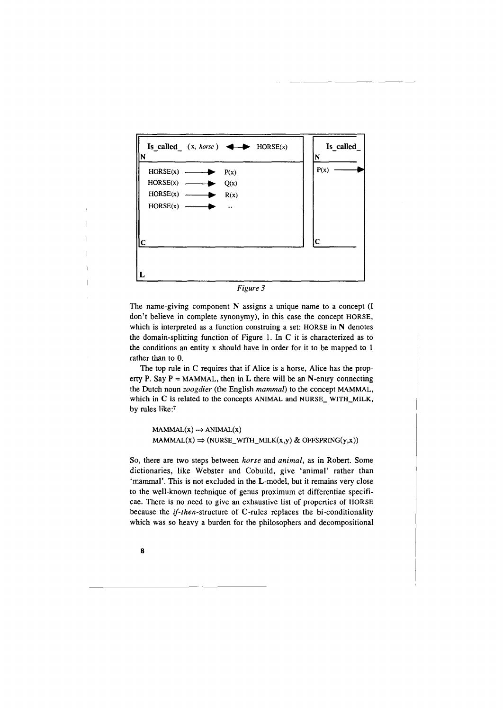

*Figure 3* 

The name-giving component N assigns a unique name to a concept (I don't believe in complete synonymy), in this case the concept HORSE, which is interpreted as a function construing a set: HORSE in N denotes the domain-splitting function of Figure 1. In C it is characterized as to the conditions an entity x should have in order for it to be mapped to 1 rather than to 0.

The top rule in C requires that if Alice is a horse, Alice has the property P. Say  $P = MAMMAL$ , then in L there will be an N-entry connecting the Dutch noun *zoogdier* (the English *mammal)* to the concept MAMMAL, which in C is related to the concepts ANIMAL and NURSE\_ WITH\_MILK, by rules like:7

 $MAMMAL(X) \Rightarrow ANIMAL(X)$  $MAMMAL(X) \Rightarrow (NURSE_WITH_MILK(x,y) \& OFFSPRING(y,x))$ 

So, there are two steps between *horse* and *animal,* as in Robert. Some dictionaries, like Webster and Cobuild, give 'animal' rather than 'mammal'. This is not excluded in the L-model, but it remains very close to the well-known technique of genus proximum et differentiae specificae. There is no need to give an exhaustive list of properties of HORSE because the *if-then-structure* of C-rules replaces the bi-conditionality which was so heavy a burden for the philosophers and decompositional

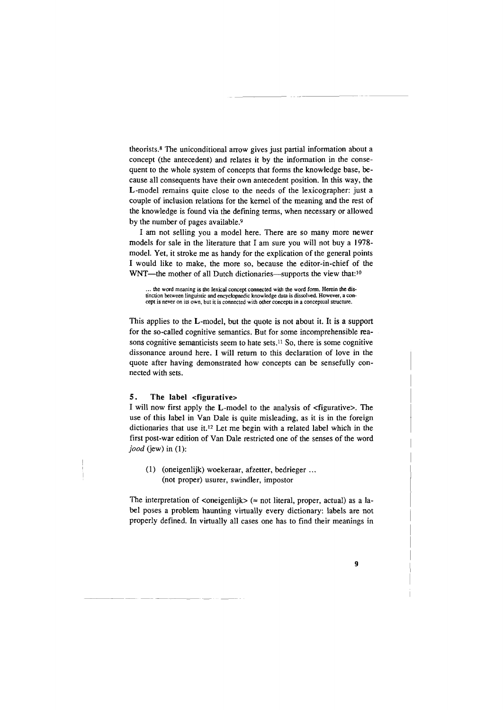theorists.<sup>8</sup> The uniconditional arrow gives just partial information about a concept (the antecedent) and relates it by the information in the consequent to the whole system of concepts that forms the knowledge base, because all consequents have their own antecedent position. In this way, the L-model remains quite close to the needs of the lexicographer: just a couple of inclusion relations for the kernel of the meaning and the rest of the knowledge is found via the defining terms, when necessary or allowed by the number of pages available.9

I am not selling you a model here. There are so many more newer models for sale in the literature that I am sure you will not buy a 1978 model. Yet, it stroke me as handy for the explication of the general points I would like to make, the more so, because the editor-in-chief of the WNT-the mother of all Dutch dictionaries-supports the view that:<sup>10</sup>

... the word meaning is the lexical concept connected with the word form. Herein the distinction between linguistic and encyclopaedic knowledge data is dissolved. However, a concept is never on its own, but it is connected with other concepts in a conceptual structure.

This applies to the L-model, but the quote is not about it. It is a support for the so-called cognitive semantics. But for some incomprehensible reasons cognitive semanticists seem to hate sets.11 So, there is some cognitive dissonance around here. I will return to this declaration of love in the quote after having demonstrated how concepts can be sensefully connected with sets.

## 5. The label <figurative>

I will now first apply the L-model to the analysis of <figurative>. The use of this label in Van Dale is quite misleading, as it is in the foreign dictionaries that use it.<sup>12</sup> Let me begin with a related label which in the first post-war edition of Van Dale restricted one of the senses of the word *jood* (jew) in (1):

(1) (oneigenlijk) woekeraar, afzetter, bedrieger ... (not proper) usurer, swindler, impostor

The interpretation of  $\langle$ oneigenlijk $\rangle \langle \approx$  not literal, proper, actual) as a label poses a problem haunting virtually every dictionary: labels are not properly defined. In virtually all cases one has to find their meanings in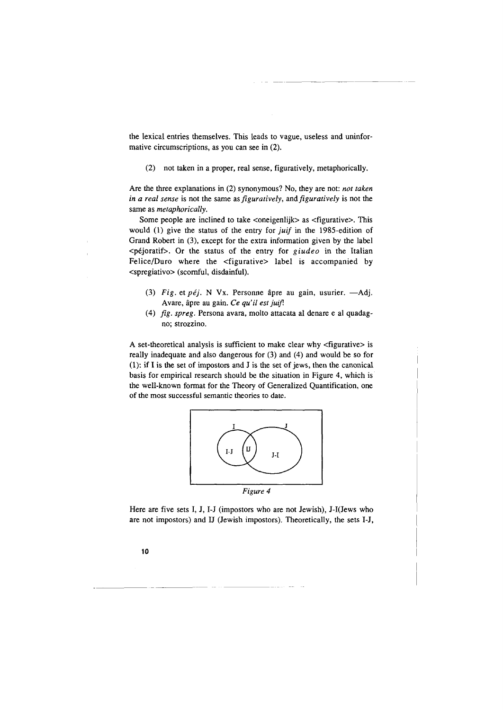the lexical entries themselves. This leads to vague, useless and uninformative circumscriptions, as you can see in (2).

(2) not taken in a proper, real sense, figuratively, metaphorically.

Are the three explanations in (2) synonymous? No, they are not: *not taken in a real sense* is not the same as *figuratively*, and *figuratively* is not the same as *metaphorically.* 

Some people are inclined to take <oneigenlijk> as <figurative>. This would (1) give the status of the entry for *juif* in the 1985-edition of Grand Robert in (3), except for the extra information given by the label <péjoratif>. Or the status of the entry for *giudeo* in the Italian Felice/Duro where the <figurative> label is accompanied by <spregiativo> (scornful, disdainful).

- (3) *Fig.* et péj. N Vx. Personne âpre au gain, usurier. Adj. A vare, apre au gain. *Ce qu' ii est juifl*
- (4) *fig. spreg.* Persona avara, molto attacata al denare e al quadagno; strozzino.

A set-theoretical analysis is sufficient to make clear why <figurative> is really inadequate and also dangerous for (3) and (4) and would be so for (1): if I is the set of impostors and J is the set of jews, then the canonical basis for empirical research should be the situation in Figure 4, which is the well-known format for the Theory of Generalized Quantification, one of the most successful semantic theories to date.



Here are five sets I, J, 1-J (impostors who are not Jewish), J-l(Jews who are not impostors) and U (Jewish impostors). Theoretically, the sets 1-J,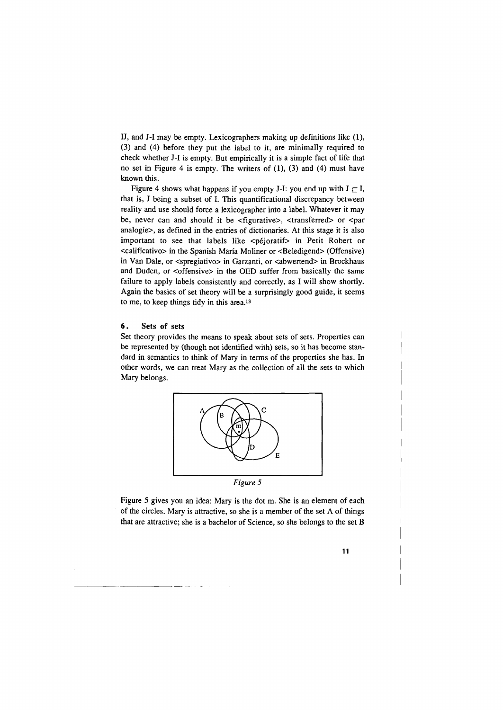IJ, and J-1 may be empty. Lexicographers making up definitions like (1), (3) and (4) before they put the label to it, are minimally required to check whether J-1 is empty. But empirically it is a simple fact of life that no set in Figure 4 is empty. The writers of (1), (3) and (4) must have known this.

Figure 4 shows what happens if you empty J-I: you end up with  $J \subseteq I$ , that is, J being a subset of I. This quantificational discrepancy between reality and use should force a lexicographer into a label. Whatever it may be, never can and should it be <figurative>, <transferred> or <par analogie>, as defined in the entries of dictionaries. At this stage it is also important to see that labels like <pejoratif> in Petit Robert or <calificativo> in the Spanish Marfa Moliner or <Beledigend> (Offensive) in Van Dale, or <spregiativo> in Garzanti, or <abwertend> in Brockhaus and Duden, or <offensive> in the OED suffer from basically the same failure to apply labels consistently and correctly, as I will show shortly. Again the basics of set theory will be a surprisingly good guide, it seems to me, to keep things tidy in this area.13

# 6. Sets of sets

-------------

Set theory provides the means to speak about sets of sets. Properties can be represented by (though not identified with) sets, so it has become standard in semantics to think of Mary in terms of the properties she has. In other words, we can treat Mary as the collection of all the sets to which Mary belongs.



Figure *5* gives you an idea: Mary is the dot m. She is an element of each of the circles. Mary is attractive, so she is a member of the set A of things that are attractive; she is a bachelor of Science, so she belongs to the set B

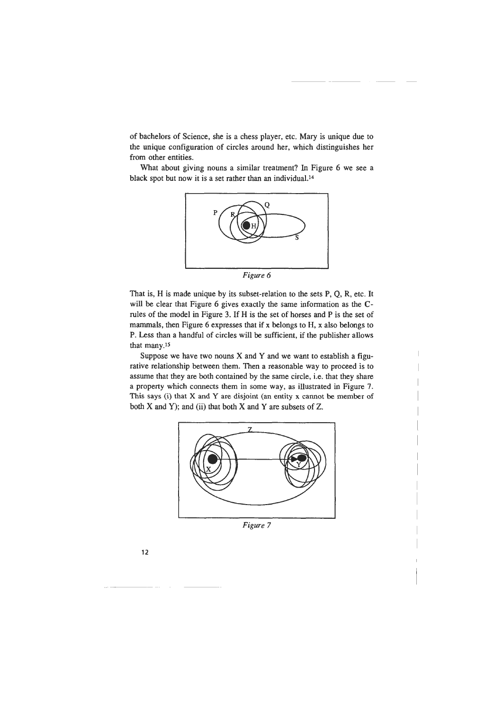of bachelors of Science, she is a chess player, etc. Mary is unique due to the unique configuration of circles around her, which distinguishes her from other entities.

What about giving nouns a similar treatment? In Figure 6 we see a black spot but now it is a set rather than an individual.<sup>14</sup>



*Figure 6* 

That is, H is made unique by its subset-relation to the sets P, Q, R, etc. It will be clear that Figure 6 gives exactly the same information as the Crules of the model in Figure 3. If H is the set of horses and P is the set of mammals, then Figure 6 expresses that if x belongs to H, x also belongs to P. Less than a handful of circles will be sufficient, if the publisher allows that many.15

Suppose we have two nouns  $X$  and  $Y$  and we want to establish a figurative relationship between them. Then a reasonable way to proceed is to assume that they are both contained by the same circle, i.e. that they share a property which connects them in some way, as illustrated in Figure 7. This says (i) that X and Y are disjoint (an entity x cannot be member of both  $X$  and  $Y$ ); and (ii) that both  $X$  and  $Y$  are subsets of  $Z$ .



*Figure* 7

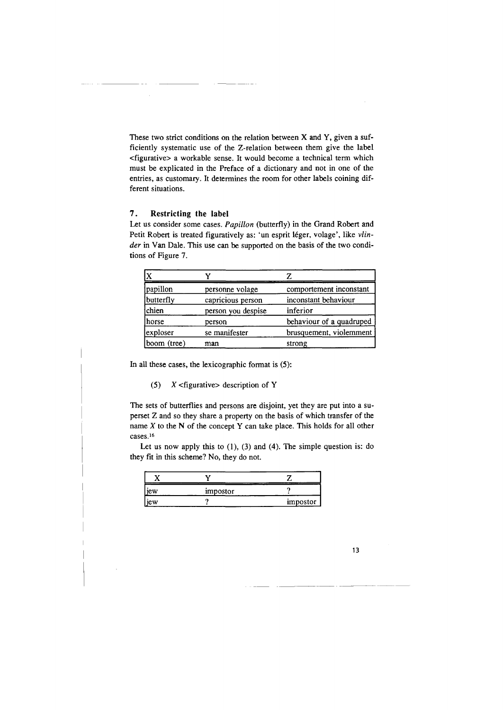These two strict conditions on the relation between X and Y, given a sufficiently systematic use of the Z-relation between them give the label <figurative> a workable sense. It would become a technical term which must be explicated in the Preface of a dictionary and not in one of the entries, as customary. It determines the room for other labels coining different situations.

# **7. Restricting the label**

 $\sim$ 

Let us consider some cases. *Papillon* (butterfly) in the Grand Robert and Petit Robert is treated figuratively as: 'un esprit léger, volage', like vlin*der* in Van Dale. This use can be supported on the basis of the two conditions of Figure 7.

| papillon    | personne volage    | comportement inconstant  |
|-------------|--------------------|--------------------------|
| butterfly   | capricious person  | inconstant behaviour     |
| chien       | person you despise | inferior                 |
| horse)      | person             | behaviour of a quadruped |
| exploser    | se manifester      | brusquement, violemment  |
| boom (tree) | man                | strong                   |

In all these cases, the lexicographic format is (5):

(5)  $X$  <figurative> description of Y

The sets of butterflies and persons are disjoint, yet they are put into a superset Z and so they share a property on the basis of which transfer of the name *X* to the N of the concept Y can take place. This holds for all other cases.16

Let us now apply this to (1), (3) and (4). The simple question is: do they fit in this scheme? No, they do not.

| jew | impostor |          |
|-----|----------|----------|
| jew |          | impostor |

13

-----~---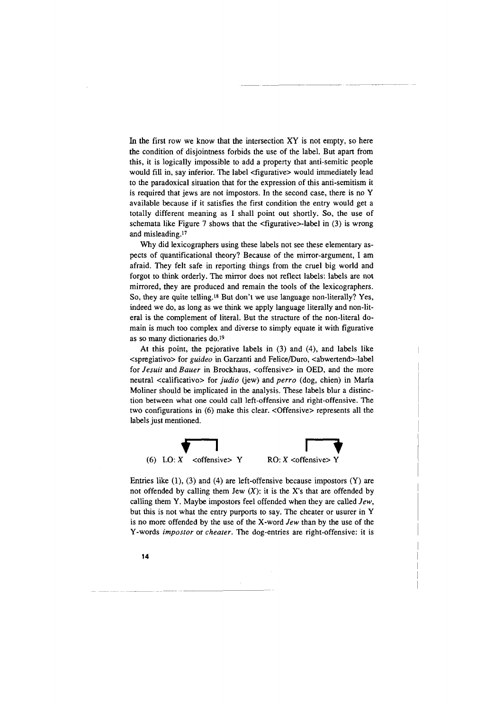In the first row we know that the intersection  $XY$  is not empty, so here the condition of disjointness forbids the use of the label. But apart from this, it is logically impossible to add a property that anti-semitic people would fill in, say inferior. The label <figurative> would immediately lead to the paradoxical situation that for the expression of this anti-semitism it is required that jews are not impostors. In the second case, there is no Y available because if it satisfies the first condition the entry would get a totally different meaning as I shall point out shortly. So, the use of schemata like Figure 7 shows that the  $\leq$  figurative $\geq$ -label in (3) is wrong and misleading.11

Why did lexicographers using these labels not see these elementary aspects of quantificational theory? Because of the mirror-argument, I am afraid. They felt safe in reporting things from the cruel big world and forgot to think orderly. The mirror does not reflect labels: labels are not mirrored, they are produced and remain the tools of the lexicographers. So, they are quite telling.is But don't we use language non-literally? Yes, indeed we do, as long as we think we apply language literally and non-literal is the complement of literal. But the structure of the non-literal domain is much too complex and diverse to simply equate it with figurative as so many dictionaries do.<sup>19</sup>

At this point, the pejorative labels in (3) and (4), and labels like <spregiativo> for *guideo* in Garzanti and Felice/Duro, <abwertend>-label for *Jesuit* and *Bauer* in Brockhaus, <offensive> in OED, and the more neutral <calificativo> for *judio* (jew) and *perro* (dog, chien) in María Moliner should be implicated in the analysis. These labels blur a distinction between what one could call left-offensive and right-offensive. The two configurations in (6) make this clear. <Offensive> represents all the labels just mentioned.



Entries like (1), (3) and (4) are left-offensive because impostors (Y) are not offended by calling them Jew  $(X)$ : it is the X's that are offended by calling them Y. Maybe impostors feel offended when they are called *Jew,*  but this is not what the entry purports to say. The cheater or usurer in Y is no more offended by the use of the X-word *Jew* than by the use of the Y-words *impostor* or *cheater.* The dog-entries are right-offensive: it is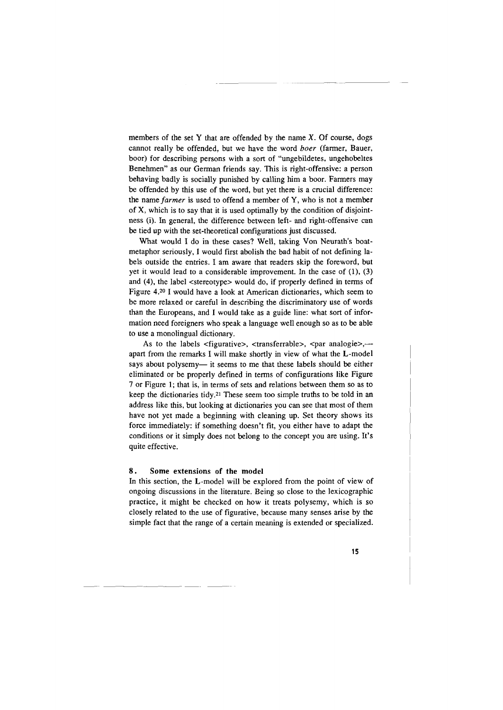members of the set Y that are offended by the name  $X$ . Of course, dogs cannot really be offended, but we have the word *hoer* (farmer, Bauer, boor) for describing persons with a sort of "ungebildetes, ungehobeltes Benehmen" as our German friends say. This is right-offensive: a person behaving badly is socially punished by calling him a boor. Farmers may be offended by this use of the word, but yet there is a crucial difference: the name *farmer* is used to offend a member of Y, who is not a member of X, which is to say that it is used optimally by the condition of disjointness (i). In general, the difference between left- and right-offensive can be tied up with the set-theoretical configurations just discussed.

What would I do in these cases? Well, taking Von Neurath's boatmetaphor seriously, I would first abolish the bad habit of not defining labels outside the entries. I am aware that readers skip the foreword, but yet it would lead to a considerable improvement. In the case of  $(1)$ ,  $(3)$ and (4), the label <stereotype> would do, if properly defined in terms of Figure 4.2° I would have a look at American dictionaries, which seem to be more relaxed or careful in describing the discriminatory use of words than the Europeans, and I would take as a guide line: what sort of information need foreigners who speak a language well enough so as to be able to use a monolingual dictionary.

As to the labels  $\langle$  figurative>,  $\langle$  transferrable>,  $\langle$   $\rangle$  and analogie>,  $\langle$ apart from the remarks I will make shortly in view of what the L-model says about polysemy- it seems to me that these labels should be either eliminated or be properly defined in terms of configurations like Figure 7 or Figure 1; that is, in terms of sets and relations between them so as to keep the dictionaries tidy.21 These seem too simple truths to be told in an address like this, but looking at dictionaries you can see that most of them have not yet made a beginning with cleaning up. Set theory shows its force immediately: if something doesn't fit, you either have to adapt the conditions or it simply does not belong to the concept you are using. It's quite effective.

## 8 . Some extensions of **the model**

In this section, the L-model will be explored from the point of view of ongoing discussions in the literature. Being so close to the lexicographic practice, it might be checked on how it treats polysemy, which is so closely related to the use of figurative, because many senses arise by the simple fact that the range of a certain meaning is extended or specialized.

**15** 

------------- ----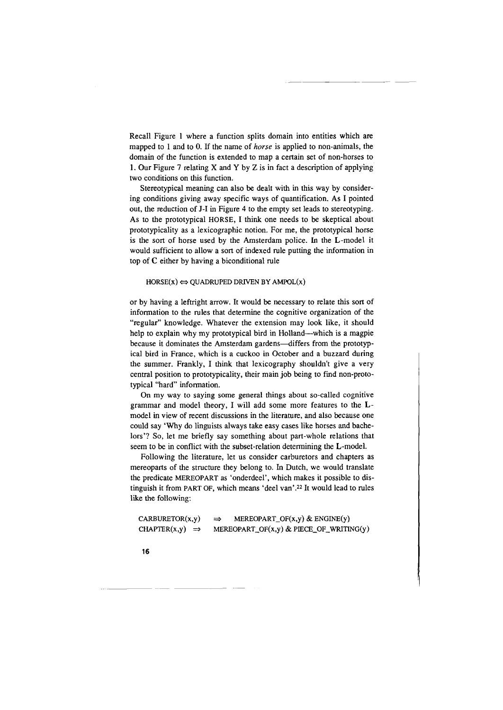Recall Figure 1 where a function splits domain into entities which are mapped to 1 and to 0. If the name of *horse* is applied to non-animals, the domain of the function is extended to map a certain set of non-horses to 1. Our Figure 7 relating X and Y by Z is in fact a description of applying two conditions on this function.

Stereotypical meaning can also be dealt with in this way by considering conditions giving away specific ways of quantification. As I pointed out, the reduction of J-1 in Figure 4 to the empty set leads to stereotyping. As to the prototypical HORSE, I think one needs to be skeptical about prototypicality as a lexicographic notion. For me, the prototypical horse is the sort of horse used by the Amsterdam police. In the L-model it would sufficient to allow a sort of indexed rule putting the information in top of C either by having a biconditional rule

## $HORSE(x) \Leftrightarrow QUADRUPED DRIVEN BY AMPOL(x)$

or by having a leftright arrow. It would be necessary to relate this sort of information to the rules that determine the cognitive organization of the "regular" knowledge. Whatever the extension may look like, it should help to explain why my prototypical bird in Holland—which is a magpie because it dominates the Amsterdam gardens--differs from the prototypical bird in France, which is a cuckoo in October and a buzzard during the summer. Frankly, I think that lexicography shouldn't give a very central position to prototypicality, their main job being to find non-prototypical "hard" information.

On my way to saying some general things about so-called cognitive grammar and model theory, I will add some more features to the Lmodel in view of recent discussions in the literature, and also because one could say 'Why do linguists always take easy cases like horses and bachelors'? So, let me briefly say something about part-whole relations that seem to be in conflict with the subset-relation determining the L-model.

Following the literature, let us consider carburetors and chapters as mereoparts of the structure they belong to. In Dutch, we would translate the predicate MEREOPART as 'onderdeel', which makes it possible to distinguish it from PART OF, which means 'deel van' .22 It would lead to rules like the following:

| CARBURETOR(x,y)             | MEREOPART_OF $(x,y)$ & ENGINE $(y)$<br>$\Rightarrow$ |
|-----------------------------|------------------------------------------------------|
| CHAPTER $(x,y) \Rightarrow$ | MEREOPART_OF $(x,y)$ & PIECE_OF_WRITING $(y)$        |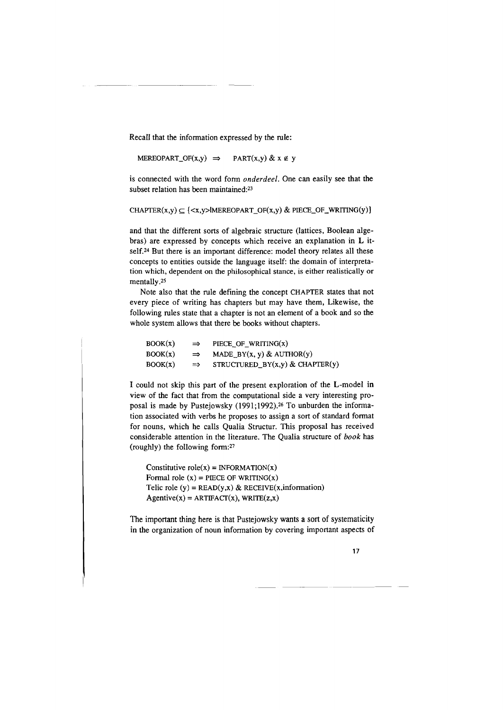Recall that the information expressed by the rule:

MEREOPART\_OF(x,y)  $\Rightarrow$  PART(x,y) & x  $\notin$  y

is connected with the word form *onderdeel.* One can easily see that the subset relation has been maintained:23

CHAPTER(x,y)  $\subseteq$  {<x,y>|MEREOPART\_OF(x,y) & PIECE\_OF\_WRITING(y)}

and that the different sorts of algebraic structure (lattices, Boolean algebras) are expressed by concepts which receive an explanation in L itself.24 But there is an important difference: model theory relates all these concepts to entities outside the language itself: the domain of interpretation which, dependent on the philosophical stance, is either realistically or mentally.25

Note also that the rule defining the concept CHAPTER states that not every piece of writing has chapters but may have them, Likewise, the following rules state that a chapter is not an element of a book and so the whole system allows that there be books without chapters.

| $\rm{BOOK}(x)$ | $\Rightarrow$ | PIECE_OF_WRITING $(x)$                |
|----------------|---------------|---------------------------------------|
| BOOK(x)        | $\Rightarrow$ | MADE $BY(x, y)$ & AUTHOR(y)           |
| $\rm{BOOK}(x)$ | $\Rightarrow$ | STRUCTURED_BY $(x,y)$ & CHAPTER $(y)$ |

I could not skip this part of the present exploration of the L-model in view of the fact that from the computational side a very interesting proposal is made by Pustejowsky (1991;1992).26 To unburden the information associated with verbs he proposes to assign a sort of standard format for nouns, which he calls Qualia Structur. This proposal has received considerable attention in the literature. The Qualia structure of *book* has (roughly) the following form:21

Constitutive role(x) = INFORMATION(x) Formal role  $(x)$  = PIECE OF WRITING $(x)$ Telic role (y) =  $READ(y,x)$  &  $RECEIVE(x, information)$  $Agentive(x) = ARTIFACT(x), WRITE(z,x)$ 

The important thing here is that Pustejowsky wants a sort of systematicity in the organization of noun information by covering important aspects of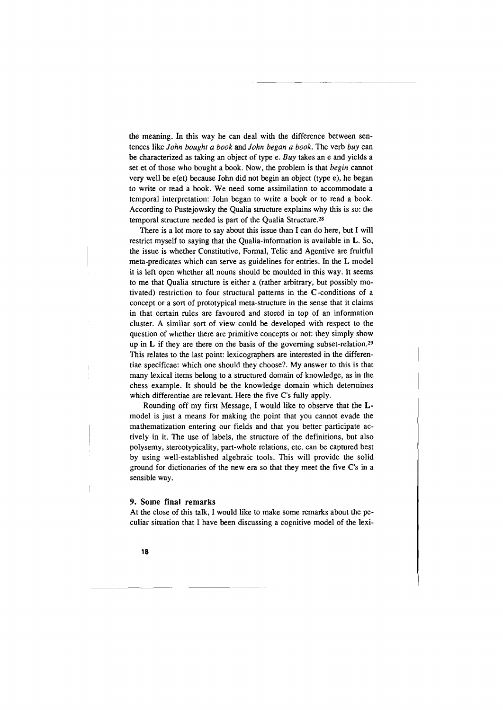the meaning. In this way he can deal with the difference between sentences like *John bought a book* and *John began a book.* The verb *buy* can be characterized as taking an object of type e. *Buy* takes an e and yields a set et of those who bought a book. Now, the problem is that *begin* cannot very well be e(et) because John did not begin an object (type e), he began to write or read a book. We need some assimilation to accommodate a temporal interpretation: John began to write a book or to read a book. According to Pustejowsky the Qualia structure explains why this is so: the temporal structure needed is part of the Qualia Structure.2s

There is a lot more to say about this issue than I can do here, but I will restrict myself to saying that the Qualia-information is available in L. So, the issue is whether Constitutive, Fonnal, Telic and Agentive are fruitful meta-predicates which can serve as guidelines for entries. In the L-model it is left open whether all nouns should be moulded in this way. It seems to me that Qualia structure is either a (rather arbitrary, but possibly motivated) restriction to four structural patterns in the C-conditions of a concept or a sort of prototypical meta-structure in the sense that it claims in that certain rules are favoured and stored in top of an information cluster. A similar sort of view could be developed with respect to the question of whether there are primitive concepts or not: they simply show up in **L** if they are there on the basis of the governing subset-relation.29 This relates to the last point: lexicographers are interested in the differentiae specificae: which one should they choose?. My answer to this is that many lexical items belong to a structured domain of knowledge, as in the chess example. It should be the knowledge domain which detennines which differentiae are relevant. Here the five C's fully apply.

Rounding off my first Message, I would like to observe that the **L**model is just a means for making the point that you cannot evade the mathematization entering our fields and that you better participate actively in it. The use of labels, the structure of the definitions, but also polysemy, stereotypicality, part-whole relations, etc. can be captured best by using well-established algebraic tools. This will provide the solid ground for dictionaries of the new era so that they meet the five C's in a sensible way.

## 9. Some **final** remarks

At the close of this talk, I would like to make some remarks about the peculiar situation that I have been discussing a cognitive model of the lexi-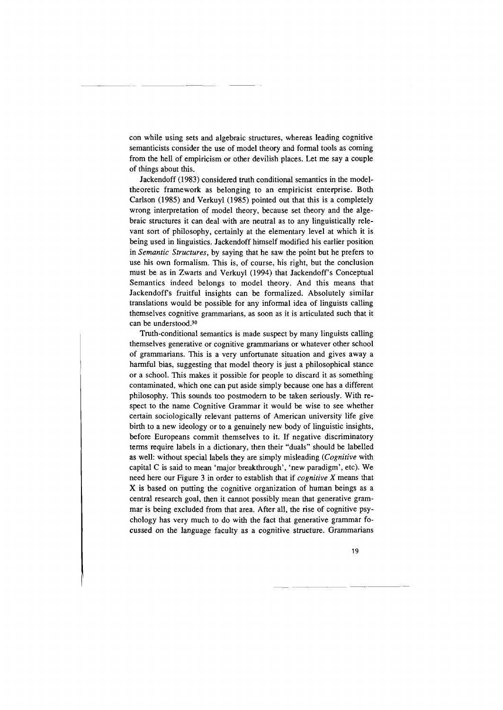con while using sets and algebraic structures, whereas leading cognitive semanticists consider the use of model theory and formal tools as coming from the hell of empiricism or other devilish places. Let me say a couple of things about this.

Jackendoff (1983) considered truth conditional semantics in the modeltheoretic framework as belonging to an empiricist enterprise. Both Carlson (1985) and Verkuyl (1985) pointed out that this is a completely wrong interpretation of model theory, because set theory and the algebraic structures it can deal with are neutral as to any linguistically relevant sort of philosophy, certainly at the elementary level at which it is being used in linguistics. Jackendoff himself modified his earlier position in *Semantic Structures,* by saying that he saw the point but he prefers to use his own formalism. This is, of course, his right, but the conclusion must be as in Zwarts and Verkuyl (1994) that Jackendoff's Conceptual Semantics indeed belongs to model theory. And this means that Jackendoff's fruitful insights can be formalized. Absolutely similar translations would be possible for any informal idea of linguists calling themselves cognitive grammarians, as soon as it is articulated such that it can be understood.30

Truth-conditional semantics is made suspect by many linguists calling themselves generative or cognitive grammarians or whatever other school of grammarians. This is a very unfortunate situation and gives away a harmful bias, suggesting that model theory is just a philosophical stance or a school. This makes it possible for people to discard it as something contaminated, which one can put aside simply because one has a different philosophy. This sounds too postmodern to be taken seriously. With respect to the name Cognitive Grammar it would be wise to see whether certain sociologically relevant patterns of American university life give birth to a new ideology or to a genuinely new body of linguistic insights, before Europeans commit themselves to it. If negative discriminatory terms require labels in a dictionary, then their "duals" should be labelled as well: without special labels they are simply misleading *(Cognitive* with capital C is said to mean 'major breakthrough', 'new paradigm', etc). We need here our Figure 3 in order to establish that if *cognitive X* means that X is based on putting the cognitive organization of human beings as a central research goal, then it cannot possibly mean that generative grammar is being excluded from that area. After all, the rise of cognitive psychology has very much to do with the fact that generative grammar focussed on the language faculty as a cognitive structure. Grammarians

19

-- ------~-- ------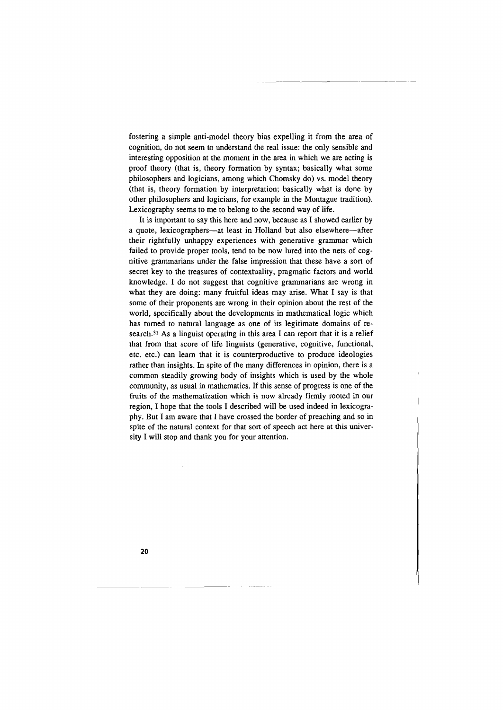fostering a simple anti-model theory bias expelling it from the area of cognition, do not seem to understand the real issue: the only sensible and interesting opposition at the moment in the area in which we are acting is proof theory (that is, theory formation by syntax; basically what some philosophers and logicians, among which Chomsky do) vs. model theory (that is, theory formation by interpretation; basically what is done by other philosophers and logicians, for example in the Montague tradition). Lexicography seems to me to belong to the second way of life.

It is important to say this here and now, because as I showed earlier by a quote, lexicographers-at least in Holland but also elsewhere-after their rightfully unhappy experiences with generative grammar which failed to provide proper tools, tend to be now lured into the nets of cognitive grammarians under the false impression that these have a sort of secret key to the treasures of contextuality, pragmatic factors and world knowledge. I do not suggest that cognitive grammarians are wrong in what they are doing: many fruitful ideas may arise. What I say is that some of their proponents are wrong in their opinion about the rest of the world, specifically about the developments in mathematical logic which has turned to natural language as one of its legitimate domains of research.31 As a linguist operating in this area I can report that it is a relief that from that score of life linguists (generative, cognitive, functional, etc. etc.) can learn that it is counterproductive to produce ideologies rather than insights. In spite of the many differences in opinion, there is a common steadily growing body of insights which is used by the whole community, as usual in mathematics. If this sense of progress is one of the fruits of the mathematization which is now already firmly rooted in our region, I hope that the tools I described will be used indeed in lexicography. But I am aware that I have crossed the border of preaching and so in spite of the natural context for that sort of speech act here at this university I will stop and thank you for your attention.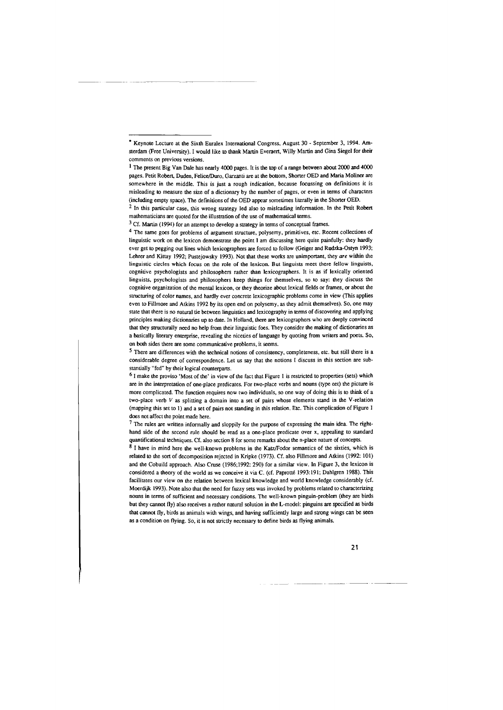<sup>•</sup> Keynote Lecture at the Sixth Euralex International Congress, August 30 - September 3, 1994. Amsterdam (Free University). I would like to thank Martin Everaert, Willy Martin and Gina Siegel for their **comments on previous versions.** 

<sup>&</sup>lt;sup>1</sup> The present Big Van Dale has nearly 4000 pages. It is the top of a range between about 2000 and 4000 pages. Petit Robert, Duden, Felice/Duro, Garzanti are at the bottom, Shorter OED and Maria Moliner are somewhere in the middle. This is just a rough indication, because focussing on definitions it is misleading to measure the size of a dictionary by the number of pages, or even in terms of characters (including empty space). The definitions of the OED appear sometimes literally in the Shorter OED.

 $<sup>2</sup>$  In this particular case, this wrong strategy led also to misleading information. In the Petit Robert</sup> mathematicians are quoted for the illustration of the use of mathematical terms.

<sup>&</sup>lt;sup>3</sup> Cf. Martin (1994) for an attempt to develop a strategy in terms of conceptual frames.

<sup>4</sup> The same goes for problems of argument structure, polysemy, primitives, etc. Recent collections of linguistic work on the lexicon demonstrate the point I am discussing here quite painfully: they hardly ever get to pegging out lines which lexicographers are forced to follow (Geiger and Rudzka-Ostyn 1993; Lehrer and Kittay 1992; Pustejowsky 1993). Not that these works are unimportant, they *are* within the **linguistic circles which focus on the role of the lexicon. But linguists meet there fellow linguists,**  cognitive psychologists and philosophers rather than lexicographers. It is as if lexically oriented linguists, psychologists and philosophers keep things for themselves, so to say: they discuss the cognitive organization of the mental lexicon, or they theorize about lexical fields or frames, or about the structuring of color names, and hardly ever concrete lexicographic problems come in view (This applies even to Fillmore and Atkins 1992 by its open end on polysemy, as they admit themselves). So, one may state that there is no natural tie between linguistics and lexicography in terms of discovering and applying principles making dictionaries up to date. In Holland, there are lexicographers who are deeply convinced that they structurally need no help from their linguistic foes. They consider the making of dictionaries as a basically literary enterprise, revealing the niceties of language by quoting from writers and poets. So, on both sides there are some communicative problems, it seems.

<sup>5</sup> There are differences with the technical notions of consistency, completeness, etc. but still there is a considerable degree of correspondence. Let us say that the notions I discuss in this section are substantially "fed" by their logical counterparts.

<sup>6</sup> I make the proviso 'Most of the' in view of the fact that Figure 1 is restricted to properties (sets) which are in the interpretation of one-place predicates. For two-place verbs and nouns (type eet) the picture is more complicated. The function requires now two individuals, so one way of doing this is to think of a two-place verb *V* as splitting a domain into a set of pairs whose elements stand in the V-relation (mapping this set to I) and a set of pairs not standing in this relation. Etc. This complication of Figure I does not affect the point made here.

<sup>7</sup> The rules are written informally and sloppily for the purpose of expressing the main idea. The righthand side of the second rule should be read as a one-place predicate over x, appealing to standard quantificational techniques. Cf. also section 8 for some remarks about the n-place nature of concepts.

<sup>8</sup> I have in mind here the well-known problems in the Katz/Fodor semantics of the sixties, which is related to the sort of decomposition rejected in Kripke (1973). Cf. also Fillmore and Atkins (1992: 101) and the Cobuild approach. Also Cruse (1986;1992: 290) for a similar view. In Figure 3, the lexicon is considered a theory of the world as we conceive it via C. (cf. Paprotté 1993:191; Dahlgren 1988). This facilitates our view on the relation between lexical knowledge and world knowledge considerably (cf. Moerdijk 1993). Note also that the need for fuzzy sets was invoked by problems related to characterizing nouns in terms of sufficient and necessary conditions. The well-known pinguin-problem (they are birds but they cannot fly) also receives a rather natural solution in the L-model: pinguins are specified as birds that cannot fly, birds as animals with wings, and having sufficiently large and strong wings can be seen as a condition on flying. So, it is not strictly necessary to define birds as flying animals.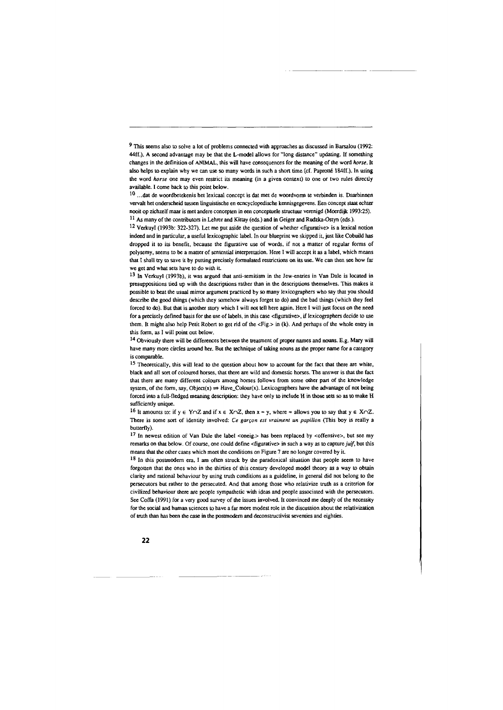*9* This seems also to solve a lot of problems connected with approaches as discussed in Barsalou (1992: 44ff.). A second advantage may be that the L-model allows for "long distance" updating. If something changes in the definition of ANIMAL, this will have consequences for the meaning of the word *horse.* It also helps to explain why we can use so many words in such a short time (cf. Paprotle 184ff.). In using the word *horse* one may even restrict its meaning (in a given context) to one or two rules directly available. I come back to this point below.

~---- -------

 $10$  ... dat de woordbetekenis het lexicaal concept is dat met de woordvorm te verbinden is. Daarbinnen vervalt het onderscheid tussen linguistische en ecncyclopedische kennisgegevens. Een concept staat echter nooit op zichzelf maar is met andere concepten in een conceptuele structuur verenigd (Moerdijk 1993:25). 11 As many of the contributors in Lehrer and Kittay (eds.) and in Geiger and Rudzka-Ostyn (eds.).

<sup>12</sup> Verkuyl (1993b: 322-327). Let me put aside the question of whether <figurative> is a lexical notion indeed and in particular, a useful lexicographic label. In our blueprint we skipped it, just like Cobuild has dropped it to its benefit, because the figurative use of words, if not a matter of regular forms of polysemy, seems to be a matter of sentential interpretation. Here I will accept it as a label, which means that I shall try to save it by putting precisely formulated restrictions on its use. We can then see how far we get and what sets have to do with it

13 In Verkuyl (1993b), it was argued that anti-semitism in the Jew-entries in Van Dale is located in presuppositions tied up with the descriptions rather than in the descriptions themselves. This makes it possible to beat the usual mirror argument practiced by so many lexicographers who say that you should describe the good things (which they somehow always forget to do) and the bad things (which they feel forced to do). But that is another story which I will not tell here again. Here I will just focus on the need for a precisely defined basis for the use of labels, in this case <figurative>, if lexicographers decide to use them. It might also help Petit Robert to get rid of the <Fig.> in (k). And perhaps of the whole entry in this form, as I will point out below.

14 Obviously there will be differences between the treaunent of proper names and nouns. E.g. Mary will have many more circles around her. But the technique of taking nouns as the proper name for a category is comparable.

<sup>15</sup> Theoretically, this will lead to the question about how to account for the fact that there are white, black and all son of coloured horses, that there are wild and domestic horses. The answer is that the fact that there are many different colours among horses follows from some other part of the knowledge system, of the form, say, Object(x)  $\Rightarrow$  Have\_Colour(x). Lexicographers have the advantage of not being forced into a full-fledged meaning description: they have only to include H in those sets so as to make H sufficiently unique.

<sup>16</sup> It amounts to: if  $y \in Y \cap Z$  and if  $x \in X \cap Z$ , then  $x = y$ , where  $\approx$  allows you to say that  $y \in X \cap Z$ . There is some sort of identity involved: *Ce garcon est vraiment un papillon* (This boy is really a butterfly).

17 In newest edition of Van Dale the label <oneig.> has been replaced by <offensive>, but see my remarks on that below. Of course, one could define <figurative> in such a way as to capture *juif,* but this means that the other cases which meet the conditions on Figure 7 are no longer covered by it

18 In this postmodern era, I am often struck by the paradoxical situation that people seem to have forgotten that the ones who in the thirties of this century developed model theory as a way to obtain clarity and rational behaviour by using truth conditions as a guideline, in general did not belong to the persecutors but rather to the persecuted. And that among those who relativize truth as a criterion for civilized behaviour there are people sympathetic with ideas and people associated with the persecutors. See Coffa (1991) for a very good survey of the issues involved. It convinced me deeply of the necessity for the social and human sciences to have a far more modest role in the discussion about the relativization of truth than has been the case in the posunodern and deconstructivist seventies and eighties.

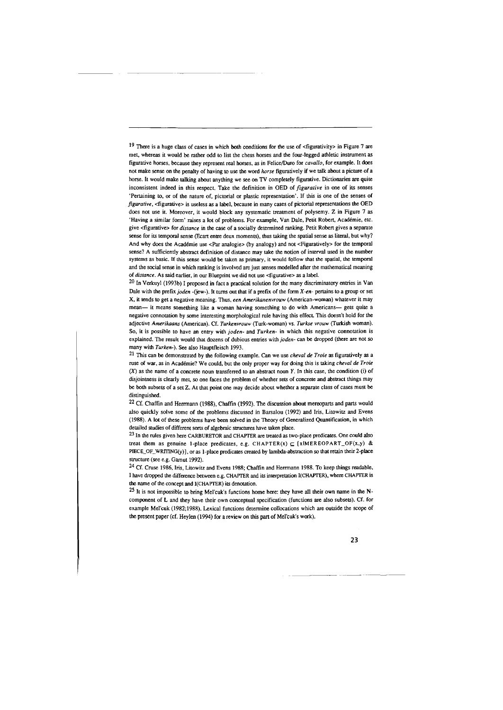<sup>19</sup> There is a huge class of cases in which both conditions for the use of <figurativity> in Figure 7 are met, whereas it would be rather odd to list the chess horses and the four-legged athletic instrument as figurative horses, because they represent real horses, as in Felice/Doro for *cavallo,* for example. It does not make sense on the penalty of having to use the word *horse* figuratively if we talk about a picture of a horse. It would make talking about anything we see on TV completely figurative. Dictionaries are quite inconsistent indeed in this respect. Take the definition in OED of *figurative* in one of its senses 'Pertaining to, or of the nature of, pictorial or plastic representation'. If this is one of the senses of *figurative,* <figurative> is useless as a label, because in many cases of pictorial representations the OED does not use it. Moreover, it would block any systematic treatment of polysemy. Z in Figure 7 as 'Having a similar form' raises a lot of problems. For example, Van Dale, Petit Robert, Academic, etc. give <figurative> for *distance* in the case of a socially determined ranking. Petit Robert gives a separate sense for its temporal sense (Ecart entre deux moments), thus taking the spatial sense as literal, but why? And why does the Académie use <Par analogie> (by analogy) and not <Figuratively> for the temporal sense? A sufficiently abstract definition of distance may take the notion of interval used in the number systems as basic. If this sense would be taken as primary, it would follow that the spatial, the temporal and the social sense in which ranking is involved are just senses modelled after the mathematical meaning of *distance.* As said earlier, in our Blueprint we did not use <figurative> as a label.

 $20$  In Verkuyl (1993b) I proposed in fact a practical solution for the many discriminatory entries in Van Dale with the prefix *joden* -(jew-). It turns out that if a prefix of the form *X-en-* pertains to a group or set X, it tends to get a negative meaning. Thus, *een Amerikanenvrouw* (American-woman) whatever it may mean- it means something like a woman having something to do with Americans- gets quite a negative connotation by some interesting morphological rule having this effect This doesn't hold for the adjective *Amerikaans* (American). Cf. *Turkenvrouw* (Turk-woman) vs. *Turkse vrouw* (Turkish woman). So, it is possible to have an entry with *joden-* and *Turken-* in which this negative connotation is explained. The result would that dozens of dubious entries with *joden-* can be dropped (there are not so many with *Turken-).* See also Hauptfleisch 1993.

21 This can be demonstrated by the following example. Can we use *cheval de Troie* as figuratively as a ruse of war, as in Academic? We could, but the only proper way for doing this is taking *cheva/ de Troie*  (X) as the name of a concrete noun transferred to an abstract noun *Y.* In this case, the condition (i) of disjointness is clearly met, so one faces the problem of whether sets of concrete and abstract things may be both subsets of a set z. At that point one may decide about whether a separate class of cases must be distinguished.

 $22$  Cf. Chaffin and Herrmann (1988), Chaffin (1992). The discussion about mereoparts and parts would also quickly solve some of the problems discussed in Barsalou (1992) and Iris, Litowitz and Evens (1988). A lot of these problems have been solved in the Theory of Generalized Quantification, in which detailed studies of different sorts of algebraic structures have taken place.

23 Jn the rules given here CARBURETOR and CHAPTER are treated as two-place predicates. One could also treat them as genuine 1-place predicates, e.g. CHAPTER(x)  $\subseteq$  (xlMEREOPART\_OF(x,y) & PIECE\_OF\_WRITING(y)), or as 1-place predicates created by lambda-abstraction so that retain their 2-place structure (see e.g. Gamut 1992).

24 Cf. Cruse 1986, Iris, Litowitz and Evens 1988; Chaffin and Herrmann 1988. To keep things readable, I have dropped the difference between e.g. CHAPTER and its interpretation !(CHAPTER), where CHAPTER is the name of the concept and !(CHAPTER) its denotation.

25 It is not impossible to bring Mel'cuk's functions home here: they have all their own name in the Ncomponent of L and they have their own conceptual specification (functions are also subsets). Cf. for example Mel'cuk (1982;1988). Lexical functions determine collocations which are outside the scope of the present paper (cf. Heylen (1994) for a review on this part of Mel'cuk's work).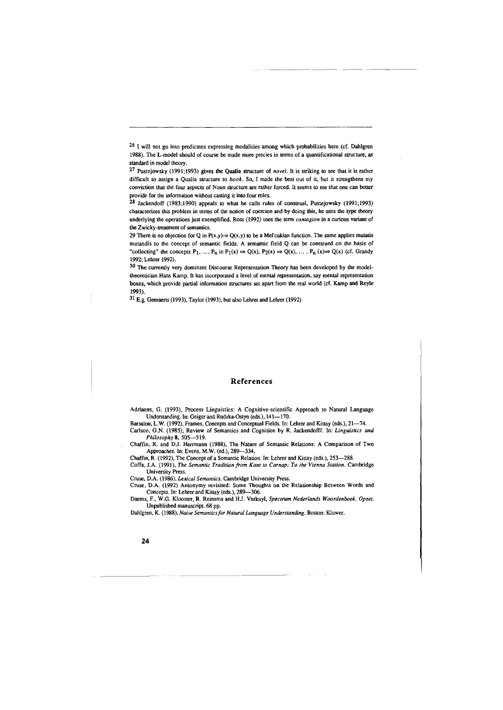<sup>26</sup> I will not go into predicates expressing modalities among which probabilities here (cf. Dahlgren 1988). The L-model should of course be made more precies in terms of a quantificational structure, as standard in model theory.

27 Pustejowsky (1991;1993) gives the Qualia structure of *novel.* It is striking to see that it is rather difficult to assign a Qualia structure to *book.* So, I made the best out of it, but it strengthens my conviction that the four aspects of Noun structure are rather forced. It seems to me that one can better provide for the information without casting it into four roles.

28 Jackendoff (1983;1990) appeals to what he calls rules of construal, Pustejowsky (1991;1993) characterizes this problem in terms of the notion of coercion and by doing this, he uses the type theory underlying the operations just exemplified. Ross (1992) uses the term *contagion* in a curious variant of the Zwicky-treatment of semantics.

29 There is no objection for Q in P(x,y)  $\Rightarrow$  Q(x,y) to be a Mel'cukian function. The same applies mutatis mutandis to the concept of semantic fields. A semantic field Q can be construed on the basis of "collecting" the concepts  $P_1, ..., P_n$  in  $P_1(x) \Rightarrow Q(x), P_2(x) \Rightarrow Q(x), ..., P_n(x) \Rightarrow Q(x)$  (cf. Grandy 1992; Lehrer 1992).

<sup>30</sup> The currently very dominant Discourse Representation Theory has been developed by the modeltheoretician Hans Kamp. It has incorporated a level of mental representation, say mental representation boxes, which provide partial information structures set apart from the real world (cf. Kamp and Reyle 1993).

31 E.g. Geeraerts (1993), Taylor (1993), but also Lehrer and Lehrer (1992)

## **References**

Adriaens, G. (1993), Process Linguistics: A Cognitive-scientific Approach to Natural Language Understanding. In: Geiger and Rudzka-Ostyn (eds.), 141-170.

Barsalou, L.W. (1992), Frames, Concepts and Conceptual Fields. In: Lehrer and Kittay (eds.), 21-74.

Carlson, G.N. (1985), Review of Semantics and Cognition by R. Jackendofff. In: *Linguistics and Philosophy* 8, 505-519.

Chaffin, R. and D.J. Herrmann (1988), The Nature of Semantic Relations: A Comparison of Two Approaches. In: Evens, M.W. (ed.), 289-334.

Chaffin, R. (1992), The Concept of a Semantic Relation. In: Lehrer and Kittay (eds.), 253-288. Coffa, J.A. (1991), *The Semantic Tradition from Kant to Carnap;* To *the Vienna Station.* Cambridge University Press.

Cruse, D.A. (1986), *Lexical Semantics.* Cambridge University Press.

Cruse, D.A. (1992) Antonymy revisited: Some Thoughts on the Relationship Between Words and Concepts. In: Lehrer and Kittay (eds.), 289-306.

Daems, F., W.G. Klooster, R. Reinsma and HJ. Verkuyl, *Spectrum Nederlands Woordenboek. Opzet.*  Unpublished manuscript. 68 pp.

Dahlgren, K. (1988), *Naive Semantics for Natural Language Understanding.* Boston: Kluwer.

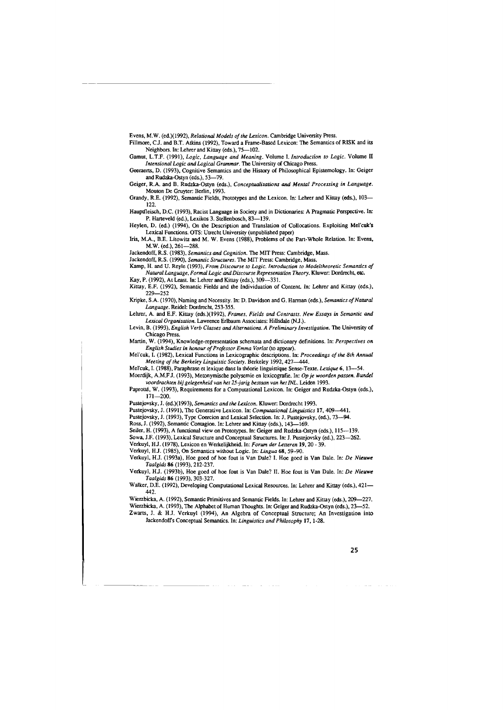Evens, M.W. (ed.)(1992), *Relational Models of the Lexicon.* Cambridge University Press.

Fillmore, CJ. and B.T. Atkins (1992), Toward a Frame-Based Lexicon: The Semantics of RISK and its Neighbors. In: Lehrer and Kittay (eds.), 75-102.

Gamut, L.T.F. (1991), *Logic, Language and Meaning.* Volume I. *Introduction to Logic.* Volume II *In1ensional Logic and Logical Grammar.* The University of Chicago Press.

Geeraerts, D. (1993), Cognitive Semantics and the History of Philosophical Epistemology. In: Geiger and Rudzka-Ostyn (eds.), 53-79.

Geiger, R.A. and B. Rudzka-Ostyn (eds.), *Conceptualizations* and *Mental Processing in Language.*  Mouton De Gruyter: Berlin, 1993.

Grandy, R.E. (1992), Semantic Fields, Prototypes and the Lexicon. In: Lehrer and Kittay (eds.), 103- 122.

Hauptfleisch, D.C. (1993), Racist Language in Society and in Dictionaries: A Pragmatic Perspective. In: P. Harteveld (ed.), Lexikos 3. Stellenbosch, 83-139.

Heylen, D. (ed.) (1994), On the Description and Translation of Collocations. Exploiting Mel'cuk's Lexical Functions. OTS: Utrecht University (unpublished paper)

Iris, M.A., B.E. Litowitz and M. W. Evens (1988), Problems of the Part-Whole Relation. In: Evens, M.W. (ed.), 261-288.

Jackendoff, R.S. (1983), *Semantics and Cognition.* The MIT Press: Cambridge, Mass.

Jackendoff, R.S. (1990), *Semantic Structures.* The MIT Press: Cambridge, Mass.

Kamp, H. and U. Reyle (1993), *From Discourse to Logic. Introduction to Mode/theoretic Semantics of Natural Language, Formal Logic andDiscoiuse Representation Theory.* Kluwer: Dordrecht, etc. Kay, P. (1992), At Least. In: Lehrer and Kittay (eds.), 309-331.

*Kittay,* E.F. (1992), Semantic Fields and the Individuation of Content. In: Lehrer and *Kittay* (eds.), 229-252

Kripke, S.A. (1970), Naming and Necessity. In: D. Davidson and G. Harman (eds.), *Semantics of Natural Language.* Reidel: Dordrecht, 253-355.

Lehrer, A. and E.F. Kittay (eds.)(1992), *Frames, Fields and Contrasts. New Essays in Semantic and* Lexical Organization. Lawrence Erlbaum Associates: Hillsdale (NJ.).

Levin, B. (1993), *English Verb Classes and Alternations. A Preliminary Investigation*. The University of Chicago Press.

Martin, W. (1994), Knowledge-representation schemata and dictionary definitions. In: *Perspectives on English Studies in honour of Professor Emma Vorlat* (to appear).

Mel'cuk, I. (1982), Lexical Functions in Lexicographic descriptions. In: *Proceedings of the 8th Annual Meeting of the Berkeley Linguistic Society.* Berkeley 1992, 427-444.

Mel'cuk, I. (1988), Paraphrase et lexique dans la théorie linguistique Sense-Texte. *Lexique* 6, 13-54. Moerdijk, A.M.FJ. (1993), Metonymische polysemie en lexicografie. In: *Op je woorden passen. Bunde/ voordrachten bij gelegenheid van het 25-jarig bestaan van het /NL.* Leiden 1993.

Paprotté, W. (1993), Requirements for a Computational Lexicon. In: Geiger and Rudzka-Ostyn (eds.), 171-200.

Pustejovsky, J. (ed.)(1993), *Semantics and the Lexicon.* Kluwer: Dordrecht 1993.

Pustejovsky, J. (1991), The Generative Lexicon. In: *Computational Linguistics* 17, 409-441.

Pustejovsky, J. (1993), Type Coercion and Lexical Selection. In: J. Pustejovsky, (ed.), 73-94.

Ross, J. (1992), Semantic Contagion. In: Lehrer and Kittay (eds.), 143-169.

Seiler, H. (1993), A functional view on Prototypes. In: Geiger and Rudzka-Ostyn (eds.), 115-139.

Sowa, J.F. (1993), Lexical Structure and Conceptual Structures. In: J. Pustejovsky (ed.), 223-262.

Verkuyl, HJ. (1978), Lexicon en Werkelijkheid. In: *Forum der Letteren* **19,** 20- 39.

Verkuyl, HJ. (1985), On Semantics without Logic. In: *Lingua* 68, 59-90. Verkuyl, H.J. (1993a), Hoe goed of hoe foul is Van Dale? I. Hoe goed is Van Dale. In: *De Nieuwe* 

*Taalgids* 86 (1993), 212-237. Verkuyl, HJ. (1993b), Hoe goed of hoe fout is Van Dale? II. Hoe foul is Van Dale. In: *De Nieuwe* 

*Taalgids* 86 (1993), 303-327.

Walker, D.E. (1992), Developing Computational Lexical Resources. In: Lehrer and Kittay (eds.), 421-442.

Wierzbicka, A. (1992), Semantic Primitives and Semantic Fields. In: Lehrer and Kittay (eds.), 209-227. Wierzbicka, A. (1993), The Alphabet of Human Thoughts. In: Geiger and Rudzka-Ostyn (eds.), 23-52. Zwarts, J. & H.J. Verkuyl (1994), An Algebra of Conceptual Structure; An Investigation into Jackendoffs Conceptual Semantics. In: *Linguistics and Philosophy* **17,** 1-28.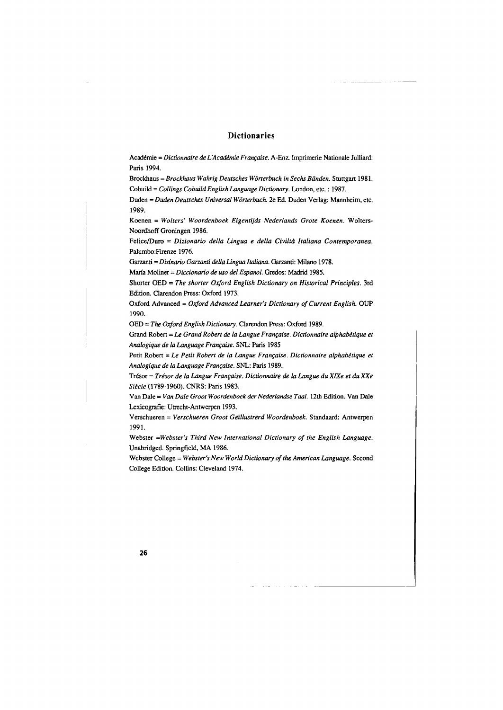# **Dictionaries**

Académie = *Dictionnaire de L'Académie Française*. A-Enz. Imprimerie Nationale Julliard: Paris 1994.

Brockhaus= *Brockhaus Wahrig Deutsches Worterbuch in Sechs Biinden.* Stuttgart 1981. Cobuild = *Collings Cobuild English Language Dictionary.* London, etc. : 1987.

Duden= *Duden Deutsches Universal Wonerbuch.* 2e Ed. Duden Verlag: Mannheim, etc. 1989.

Koenen = *Wolters' Woordenboek Eigentijds Nederlands Grote Koenen.* Wolters-Noordhoff Groningen 1986.

Felice/Duro = *Dizionario della Lingua e della Civiltà Italiana Contemporanea*. Palumbo:Firenze 1976.

Garzanti = *Dizfnario Gananti della Lingua ltaliana.* Garzanti: Milano 1978.

Maria Moliner = *Diccionario de uso def Espanol.* Gredos: Madrid 1985.

Shorter OED = *The shorter Oxford English Dictionary on Historical Principles.* 3rd Edition. Clarendon Press: Oxford 1973.

Oxford Advanced = *Oxford Advanced Learner's Dictionary of Current English.* OUP 1990.

OED= *The Oxford English Dictionary.* Clarendon Press: Oxford 1989.

Grand Robert = Le Grand Robert de la Langue Française. Dictionnaire alphabétique et *Analogique de la Language Fraru;aise.* SNL: Paris 1985

Petit Robert = Le Petit Robert de la Langue Française. Dictionnaire alphabétique et *Analogique de la Language Franr;aise.* SNL: Paris 1989.

Tresor = *Tresor de la Langue Franr;aise. Dictionnaire de la Langue du X/Xe et du XXe Siecle* (1789-1960). CNRS: Paris 1983.

Van Dale= *Van Dale Groot Woordenboek der Nederlandse Taal.* 12th Edition. Van Dale Lexicografie: Utrecht-Antwerpen 1993.

Verschueren = *Verschueren Groot Ger/lustrerd Woordenboek.* Standaard: Antwerpen 1991.

Webster *=Webster's Third New International Dictionary of the English Language.*  Unabridged. Springfield, MA 1986.

Webster College= *Webster's New World Dictionary of the American Language.* Second College Edition. Collins: Cleveland 1974.

\_\_ J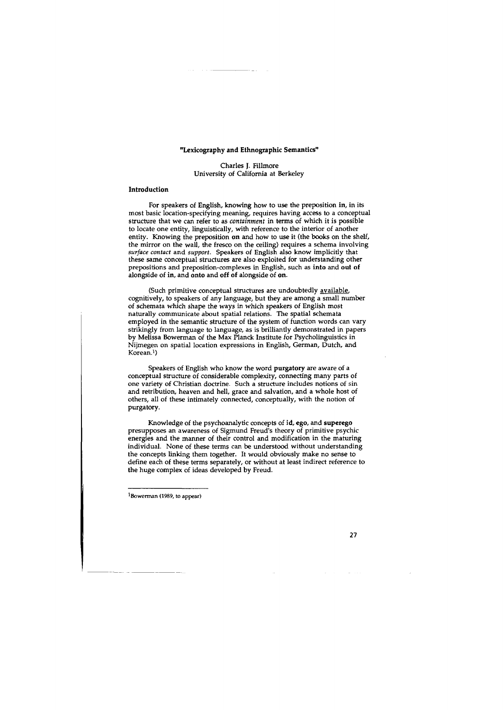## "Lexicography and Ethnographic Semantics"

Charles J. Fillmore University of California at Berkeley

#### Introduction

For speakers of English, knowing how to use the preposition in, in its most basic location-specifying meaning, requires having access to a conceptual structure that we can refer to as *containment* in terms of which it is possible to locate one entity, linguistically, with reference to the interior of another entity. Knowing the preposition on and how to use it (the books on the shelf, the mirror on the wall, the fresco on the ceiling) requires a schema involving *surface contact* and *support.* Speakers of English also know implicitly that these same conceptual structures are also exploited for understanding other prepositions and preposition-complexes in English, such as into and out of alongside of in, and onto and off of alongside of on.

(Such primitive conceptual structures are undoubtedly **available**, cognitively, to speakers of any language, but they are among a small number of schemata which shape the ways in which speakers of English most naturally communicate about spatial relations. The spatial schemata employed in the semantic structure of the system of function words can vary strikingly from language to language, as is brilliantly demonstrated in papers by Melissa Bowerman of the Max Planck Institute for Psycholinguistics in Nijmegen on spatial location expressions in English, German, Dutch, and Korean.1)

Speakers of English who know the word purgatory are aware of a conceptual structure of considerable complexity, connecting many parts of one variety of Christian doctrine. Such a structure includes notions of sin and retribution, heaven and hell, grace and salvation, and a whole host of others, all of these intimately connected, conceptually, with the notion of purgatory.

Knowledge of the psychoanalytic concepts of id, ego, and superego presupposes an awareness of Sigmund Freud's theory of primitive psychic energies and the manner of their control and modification in the maturing individual. None of these terms can be understood without understanding the concepts linking them together. It would obviously make no sense to define each of these terms separately, or without at least indirect reference to the huge complex of ideas developed by Freud.

1Bowerman (1989, to appear)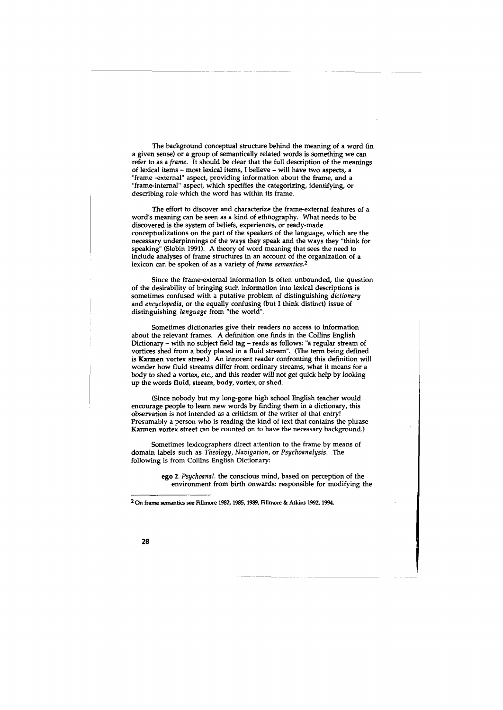The background conceptual structure behind the meaning of a word (in a given sense) or a group of semantically related words is something we can refer to as a *frame.* It should be clear that the full description of the meanings of lexical items - most lexical items, I believe - will have two aspects, a "frame -external" aspect, providing information about the frame, and a "frame-internal" aspect, which specifies the categorizing, identifying, or describing role which the word has within its frame.

The effort to discover and characterize the frame-external features of a word's meaning can be seen as a kind of ethnography. What needs to be discovered is the system of beliefs, experiences, or ready-made conceptualizations on the part of the speakers of the language, which are the necessary underpinnings of the ways they speak and the ways they "think for speaking" (Slobin 1991). A theory of word meaning that sees the need to include analyses of frame structures in an account of the organization of a lexicon can be spoken of as a variety of *frame semantics.2* 

Since the frame-external information is often unbounded, the question of the desirability of bringing such information into lexical descriptions is sometimes confused with a putative problem of distinguishing *dictionary*  and *encyclopedia,* or the equally confusing (but I think distinct) issue of distinguishing *language* from "the world".

Sometimes dictionaries give their readers no access to information about the relevant frames. A definition one finds in the Collins English Dictionary - with no subject field tag - reads as follows: "a regular stream of vortices shed from a body placed in a fluid stream". (The term being defined is Karmen vortex street.) An innocent reader confronting this definition will wonder how fluid streams differ from ordinary streams, what it means for a body to shed a vortex, etc., and this reader will not get quick help by looking up the words fluid, stream, body, vortex, or shed.

(Since nobody but my long-gone high school English teacher would encourage people to learn new words by finding them in a dictionary, this observation is not intended as a criticism of the writer of that entry! Presumably a person who is reading the kind of text that contains the phrase Karmen vortex street can be counted on to have the necessary background.)

Sometimes lexicographers direct attention to the frame by means of domain labels such as *Theology, Navigation,* or *Psychoanalysis.* The following is from Collins English Dictionary:

> ego 2. *Psychoanal.* the conscious mind, based on perception of the environment from birth onwards: responsible for modifying the

<sup>2</sup> On frame semantics see Fillmore 1982, 1985, 1989, Fillmore & Atkins 1992, 1994.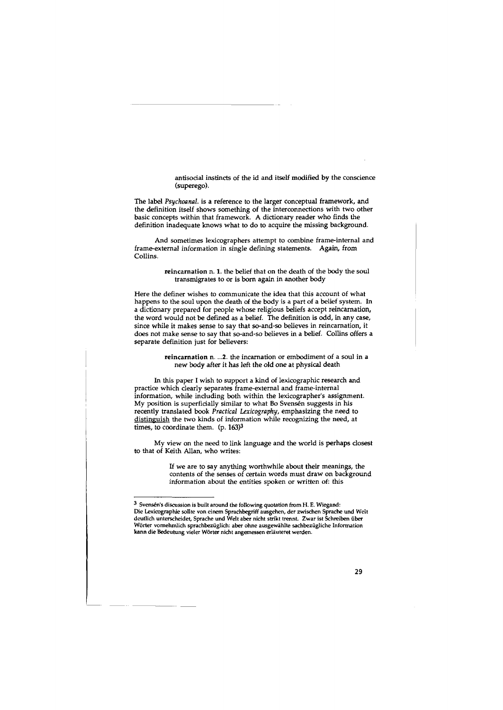antisocial instincts of the id and itself modified by the conscience (superego).

The label *Psychoanal.* is a reference to the larger conceptual framework, and the definition itself shows something of the interconnections with two other basic concepts within that framework. A dictionary reader who finds the definition inadequate knows what to do to acquire the missing background.

And sometimes lexicographers attempt to combine frame-internal and frame-external information in single defining statements. Again, from Collins.

> reincarnation n. 1. the belief that on the death of the body the soul transmigrates to or is born again in another body

Here the definer wishes to communicate the idea that this account of what happens to the soul upon the death of the body is a part of a belief system. In a dictionary prepared for people whose religious beliefs accept reincarnation, the word would not be defined as a belief. The definition is odd, in any case, since while it makes sense to say that so-and-so believes in reincarnation, it does not make sense to say that so-and-so believes in a belief. Collins offers a separate definition just for believers:

> reincarnation n. ... 2. the incarnation or embodiment of a soul in a new body after it has left the old one at physical death

In this paper I wish to support a kind of lexicographic research and practice which clearly separates frame-external and frame-internal information, while including both within the lexicographer's assignment. My position is superficially similar to what Bo Svensen suggests in his recently translated book *Practical Lexicography,* emphasizing the need to distinguish the two kinds of information while recognizing the need, at times, to coordinate them. (p. 163)<sup>3</sup>

My view on the need to link language and the world is perhaps closest to that of Keith Allan, who writes:

> If we are to say anything worthwhile about their meanings, the contents of the senses of certain words must draw on background information about the entities spoken or written of: this

<sup>3</sup> Svensen's discussion is built around the following quotation from H. E. Wiegand: Die Lexicographie sollte von einem Sprachbegriff ausgehen, der zwischen Sprache und Welt deutlich unterscheidet, Sprache und Welt aber nicht strikt trennt. Zwar ist Schreiben iiber Wörter vornehmlich sprachbezüglich: aber ohne ausgewählte sachbezügliche Information kann die Bedeutung vieler Worter nicht angemessen erlauteret werden.

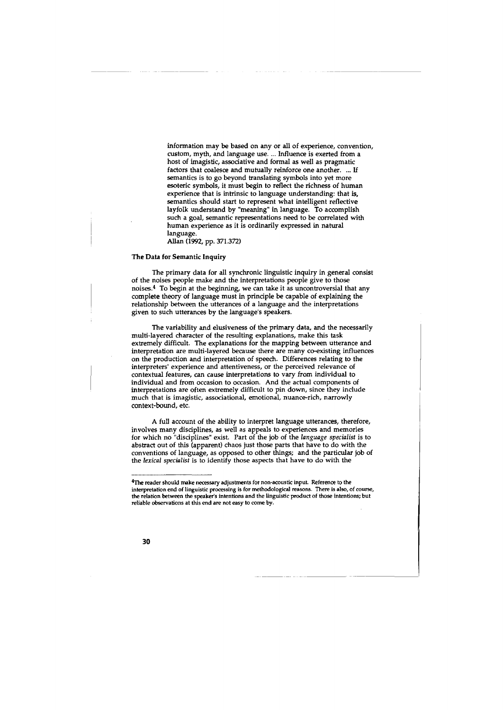information may be based on any or all of experience, convention, custom, myth, and language use .... Influence is exerted from a host of imagistic, associative and formal as well as pragmatic factors that coalesce and mutually reinforce one another. ... If semantics is to go beyond translating symbols into yet more esoteric symbols, it must begin to reflect the richness of human experience that is intrinsic to language understanding: that is, semantics should start to represent what intelligent reflective layfolk understand by "meaning" in language. To accomplish such a goal, semantic representations need to be correlated with human experience as it is ordinarily expressed in natural language.

Allan (1992, pp. 371.372)

#### The Data for Semantic Inquiry

The primary data for all synchronic linguistic inquiry in general consist of the noises people make and the interpretations people give to those noises.4 To begin at the beginning, we can take it as uncontroversial that any complete theory of language must in principle be capable of explaining the relationship between the utterances of a language and the interpretations given to such utterances by the language's speakers.

The variability and elusiveness of the primary data, and the necessarily multi-layered character of the resulting explanations, make this task extremely difficult. The explanations for the mapping between utterance and interpretation are multi-layered because there are many co-existing influences on the production and interpretation of speech. Differences relating to the interpreters' experience and attentiveness, or the perceived relevance of contextual features, can cause interpretations to vary from individual to individual and from occasion to occasion. And the actual components of interpretations are often extremely difficult to pin down, since they include much that is imagistic, associational, emotional, nuance-rich, narrowly context-bound, etc.

A full account of the ability to interpret language utterances, therefore, involves many disciplines, as well as appeals to experiences and memories for which no "disciplines" exist. Part of the job of the *language specialist* is to abstract out of this (apparent) chaos just those parts that have to do with the conventions of language, as opposed to other things; and the particular job of the *lexical specialist* is to identify those aspects that have to do with the

<sup>4</sup>The reader should make necessary adjustments for non-acoustic input. Reference to the interpretation end of linguistic processing is for methodological reasons. There is also, of course, the relation between the speaker's intentions and the linguistic product of those intentions; but reliable observations at this end are not easy to come by.

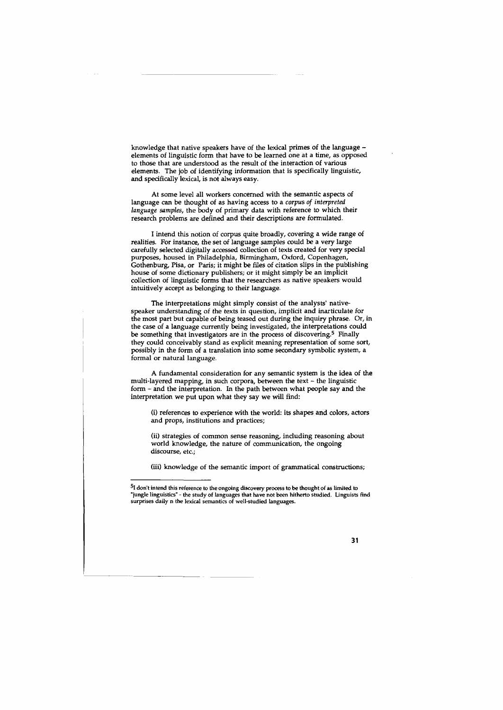knowledge that native speakers have of the lexical primes of the language elements of linguistic form that have to be learned one at a time, as opposed to those that are understood as the result of the interaction of various elements. The job of identifying information that is specifically linguistic, and specifically lexical, is not always easy.

At some level all workers concerned with the semantic aspects of language can be thought of as having access to a *corpus of interpreted language samples,* the body of primary data with reference to which their research problems are defined and their descriptions are formulated.

I intend this notion of corpus quite broadly, covering a wide range of realities. For instance, the set of language samples could be a very large carefully selected digitally accessed collection of texts created for very special purposes, housed in Philadelphia, Birmingham, Oxford, Copenhagen, Gothenburg, Pisa, or Paris; it might be files of citation slips in the publishing house of some dictionary publishers; or it might simply be an implicit collection of linguistic forms that the researchers as native speakers would intuitively accept as belonging to their language.

The interpretations might simply consist of the analysts' nativespeaker understanding of the texts in question, implicit and inarticulate for the most part but capable of being teased out during the inquiry phrase. Or, in the case of a language currently being investigated, the interpretations could be something that investigators are in the process of discovering.<sup>5</sup> Finally they could conceivably stand as explicit meaning representation of some sort, possibly in the form of a translation into some secondary symbolic system, a formal or natural language.

A fundamental consideration for any semantic system is the idea of the multi-layered mapping, in such corpora, between the text - the linguistic form - and the interpretation. In the path between what people say and the interpretation we put upon what they say we will find:

(i) references to experience with the world: its shapes and colors, actors and props, institutions and practices;

(ii) strategies of common sense reasoning, including reasoning about world knowledge, the nature of communication, the ongoing discourse, etc.;

(iii) knowledge of the semantic import of grammatical constructions;

<sup>&</sup>lt;sup>5</sup>I don't intend this reference to the ongoing discovery process to be thought of as limited to "jungle linguistics" - the study of languages that have not been hitherto studied. Linguists find surprises daily n the lexical semantics of well-studied languages.

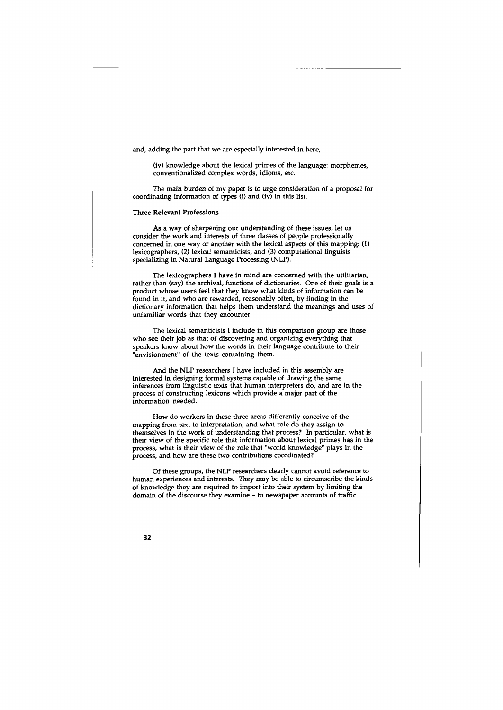and, adding the part that we are especially interested in here,

(iv) knowledge about the lexical primes of the language: morphemes, conventionalized complex words, idioms, etc.

The main burden of my paper is to urge consideration of a proposal for coordinating information of types (i) and (iv) in this list.

#### Three Relevant Professions

As a way of sharpening our understanding of these issues, let us consider the work and interests of three classes of people professionally concerned in one way or another with the lexical aspects of this mapping: (1) lexicographers, (2) lexical semanticists, and (3) computational linguists specializing in Natural Language Processing (NLP).

The lexicographers I have in mind are concerned with the utilitarian, rather than (say) the archival, functions of dictionaries. One of their goals is a product whose users feel that they know what kinds of information can be found in it, and who are rewarded, reasonably often, by finding in the dictionary information that helps them understand the meanings and uses of unfamiliar words that they encounter.

The lexical semanticists I include in this comparison group are those who see their job as that of discovering and organizing everything that speakers know about how the words in their language contribute to their "envisionment" of the texts containing them.

And the NLP researchers I have included in this assembly are interested in designing formal systems capable of drawing the same inferences from linguistic texts that human interpreters do, and are in the process of constructing lexicons which provide a major part of the information needed.

How do workers in these three areas differently conceive of the mapping from text to interpretation, and what role do they assign to themselves in the work of understanding that process? In particular, what is their view of the specific role that information about lexical primes has in the process, what is their view of the role that "world knowledge" plays in the process, and how are these two contributions coordinated?

Of these groups, the NLP researchers clearly cannot avoid reference to human experiences and interests. They may be able to circumscribe the kinds of knowledge they are required to import into their system by limiting the domain of the discourse they examine - to newspaper accounts of traffic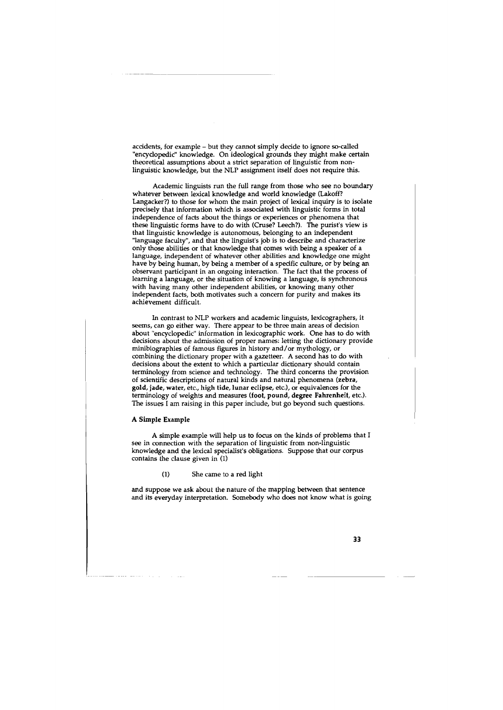accidents, for example - but they cannot simply decide to ignore so-called "encyclopedic" knowledge. On ideological grounds they might make certain theoretical assumptions about a strict separation of linguistic from nonlinguistic knowledge, but the NLP assignment itself does not require this.

Academic linguists run the full range from those who see no boundary whatever between lexical knowledge and world knowledge (Lakoff? Langacker?) to those for whom the main project of lexical inquiry is to isolate precisely that information which is associated with linguistic forms in total independence of facts about the things or experiences or phenomena that these linguistic forms have to do with (Cruse? Leech?). The purist's view is that linguistic knowledge is autonomous, belonging to an independent "language faculty", and that the linguist's job is to describe and characterize only those abilities or that knowledge that comes with being a speaker of a language, independent of whatever other abilities and knowledge one might have by being human, by being a member of a specific culture, or by being an observant participant in an ongoing interaction. The fact that the process of learning a language, or the situation of knowing a language, is synchronous with having many other independent abilities, or knowing many other independent facts, both motivates such a concern for purity and makes its achievement difficult.

In contrast to NLP workers and academic linguists, lexicographers, it seems, can go either way. There appear to be three main areas of decision about "encyclopedic" information in lexicographic work. One has to do with decisions about the admission of proper names: letting the dictionary provide minibiographies of famous figures in history and/or mythology, or combining the dictionary proper with a gazetteer. A second has to do with decisions about the extent to which a particular dictionary should contain terminology from science and technology. The third concerns the provision of scientific descriptions of natural kinds and natural phenomena (zebra, gold, jade, water, etc., high tide, lunar eclipse, etc.), or equivalences for the terminology of weights and measures (foot, pound, degree Fahrenheit, etc.). The issues I am raising in this paper include, but go beyond such questions.

### A Simple Example

A simple example will help us to focus on the kinds of problems that I see in connection with the separation of linguistic from non-linguistic knowledge and the lexical specialist's obligations. Suppose that our corpus contains the clause given in (1)

## (1) She came to a red light

and suppose we ask about the nature of the mapping between that sentence and its everyday interpretation. Somebody who does not know what is going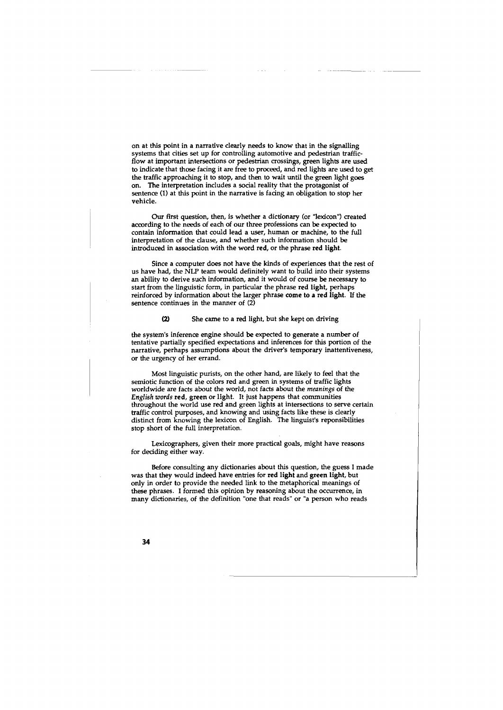on at this point in a narrative clearly needs to know that in the signalling systems that cities set up for controlling automotive and pedestrian trafficflow at important intersections or pedestrian crossings, green lights are used to indicate that those facing it are free to proceed, and red lights are used to get the traffic approaching it to stop, and then to wait until the green light goes on. The interpretation includes a social reality that the protagonist of sentence (1) at this point in the narrative is facing an obligation to stop her vehicle.

Our first question, then, is whether a dictionary (or "lexicon") created according to the needs of each of our three professions can be expected to contain information that could lead a user, human or machine, to the full interpretation of the clause, and whether such information should be introduced in association with the word red, or the phrase red light.

Since a computer does not have the kinds of experiences that the rest of us have had, the NLP team would definitely want to build into their systems an ability to derive such information, and it would of course be necessary to start from the linguistic form, in particular the phrase red light, perhaps reinforced by information about the larger phrase come to a red light. If the sentence continues in the manner of  $(2)$ 

#### (2) She came to a red light, but she kept on driving

the system's inference engine should be expected to generate a number of tentative partially specified expectations and inferences for this portion of the narrative, perhaps assumptions about the driver's temporary inattentiveness, or the urgency of her errand.

Most linguistic purists, on the other hand, are likely to feel that the semiotic function of the colors red and green in systems of traffic lights worldwide are facts about the world, not facts about the *meanings* of the *English words* red, green or light. It just happens that communities throughout the world use red and green lights at intersections to serve certain traffic control purposes, and knowing and using facts like these is clearly distinct from knowing the lexicon of English. The linguist's reponsibilities stop short of the full interpretation.

Lexicographers, given their more practical goals, might have reasons for deciding either way.

Before consulting any dictionaries about this question, the guess I made was that they would indeed have entries for red light and green light, but only in order to provide the needed link to the metaphorical meanings of these phrases. I formed this opinion by reasoning about the occurrence, in many dictionaries, of the definition "one that reads" or "a person who reads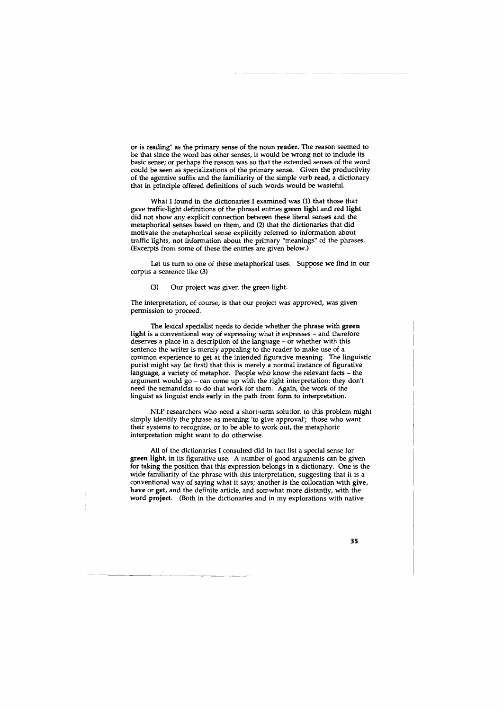or is reading" as the primary sense of the noun reader. The reason seemed to be that since the word has other senses, it would be wrong not to include its basic sense; or perhaps the reason was so that the extended senses of the word could be seen as specializations of the primary sense. Given the productivity of the agentive suffix and the familiarity of the simple verb read, a dictionary that in principle offered definitions of such words would be wasteful.

What I found in the dictionaries I examined was (1) that those that gave traffic-light definitions of the phrasal entries green light and red light did not show any explicit connection between these literal senses and the metaphorical senses based on them, and (2) that the dictionaries that did motivate the metaphorical sense explicitly referred to information about traffic lights, not information about the primary "meanings" of the phrases. (Excerpts from some of these the entries are given below.)

Let us turn to one of these metaphorical uses. Suppose we find in our corpus a sentence like (3)

(3) Our project was given the green light.

The interpretation, of course, is that our project was approved, was given permission to proceed.

The lexical specialist needs to decide whether the phrase with green light is a conventional way of expressing what it expresses - and therefore deserves a place in a description of the language - or whether with this sentence the writer is merely appealing to the reader to make use of a common experience to get at the intended figurative meaning. The linguistic purist might say (at first) that this is merely a normal instance of figurative language, a variety of metaphor. People who know the relevant facts - the argument would go - can come up with the right interpretation: they don't need the semanticist to do that work for them. Again, the work of the linguist as linguist ends early in the path from form to interpretation.

NLP researchers who need a short-term solution to this problem might simply identify the phrase as meaning 'to give approval'; those who want their systems to recognize, or to be able to work out, the metaphoric interpretation might want to do otherwise.

All of the dictionaries I consulted did in fact list a special sense for green light, in its figurative use. A number of good arguments can be given for taking the position that this expression belongs in a dictionary. One is the wide familiarity of the phrase with this interpretation, suggesting that it is a conventional way of saying what it says; another is the collocation with give, have or get, and the definite article, and somwhat more distantly, with the word project. (Both in the dictionaries and in my explorations with native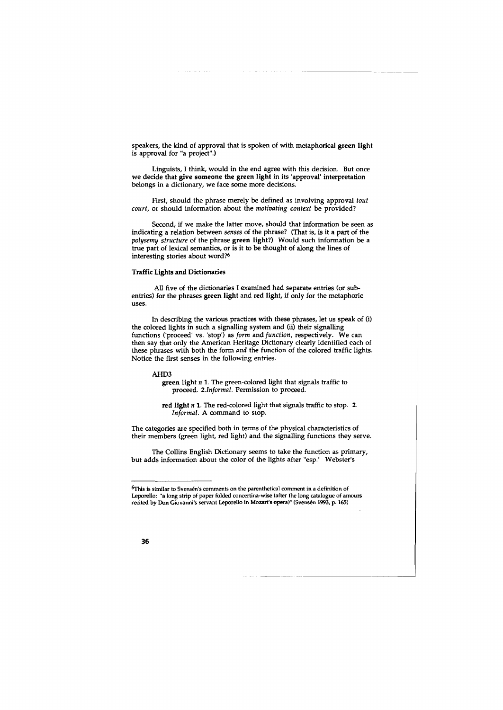speakers, the kind of approval that is spoken of with metaphorical green light is approval for "a project".)

Linguists, I think, would in the end agree with this decision. But once we decide that give someone the green light in its 'approval' interpretation belongs in a dictionary, we face some more decisions.

First, should the phrase merely be defined as involving approval *tout court,* or should information about the *motivating context* be provided?

Second, if we make the latter move, should that information be seen as indicating a relation between *senses* of the phrase? (That is, is it a part of the *polysemy structure* of the phrase green light?) Would such information be a true part of lexical semantics, or is it to be thought of along the lines of interesting stories about word?6

## Traffic Lights and Dictionaries

All five of the dictionaries I examined had separate entries (or subentries) for the phrases green light and red light, if only for the metaphoric uses.

In describing the various practices with these phrases, let us speak of (i) the colored lights in such a signalling system and (ii) their signalling functions ('proceed' vs. 'stop') as *form* and *function,* respectively. We can then say that only the American Heritage Dictionary clearly identified each of these phrases with both the form *and* the function of the colored traffic lights. Notice the first senses in the following entries.

#### AHD3

green light *n* 1. The green-colored light that signals traffic to proceed. *2.Informal.* Permission to proceed.

red light *n* 1. The red-colored light that signals traffic to stop. 2. *Informal.* A command to stop.

The categories are specified both in terms of the physical characteristics of their members (green light, red light) and the signalling functions they serve.

The Collins English Dictionary seems to take the function as primary, but adds information about the color of the lights after "esp." Webster's

 $6$ This is similar to Svensén's comments on the parenthetical comment in a definition of Leporello: "a long strip of paper folded concertina-wise (after the long catalogue of amours recited by Don Giovanni's servant Leporello in Mozart's opera)" (Svensen 1993, p. 165)

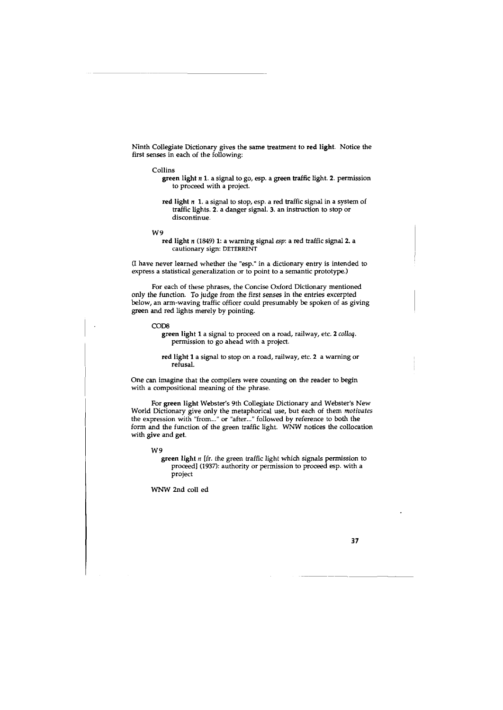Ninth Collegiate Dictionary gives the same treatment to red light. Notice the first senses in each of the following:

#### Collins

- green light *n* 1. a signal to go, esp. a green traffic light. 2. permission to proceed with a project.
- red light *n* 1. a signal to stop, esp. a red traffic signal in a system of traffic lights. 2. a danger signal. 3. an instruction to stop or discontinue.

W9

red light *n* (1849) 1: a warning signal *esp:* a red traffic signal 2. a cautionary sign: DETERRENT

(I have never learned whether the "esp." in a dictionary entry is intended to express a statistical generalization or to point to a semantic prototype.)

For each of these phrases, the Concise Oxford Dictionary mentioned only the function. To judge from the first senses in the entries excerpted below, an arm-waving traffic officer could presumably be spoken of as giving green and red lights merely by pointing.

COD8

green light 1 a signal to proceed on a road, railway, etc. 2 *colloq.*  permission to go ahead with a project.

red light 1 a signal to stop on a road, railway, etc. 2 a warning or refusal.

One can imagine that the compilers were counting on the reader to begin with a compositional meaning of the phrase.

For green light Webster's 9th Collegiate Dictionary and Webster's New World Dictionary give only the metaphorical use, but each of them *motivates*  the expression with "from..." or "after..." followed by reference to both the form and the function of the green traffic light. WNW notices the collocation with give and get.

W9

green light *n* [fr. the green traffic light which signals permission to proceed] (1937): authority or permission to proceed esp. with a project

WNW 2nd coll ed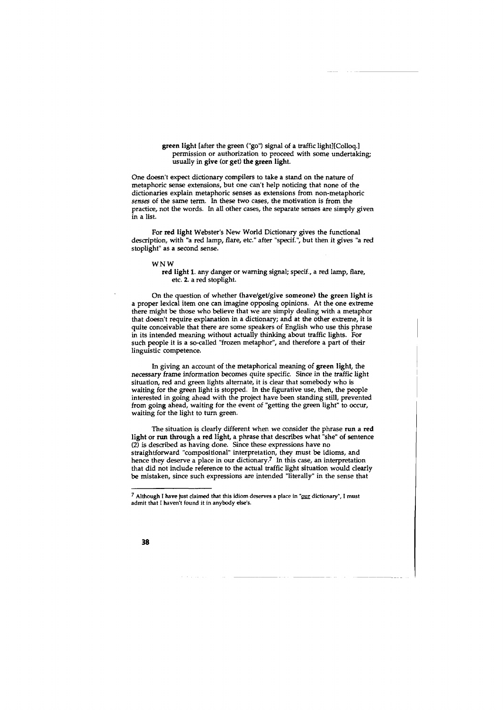green light [after the green ("go") signal of a traffic light)[Colloq.] permission or authorization to proceed with some undertaking; usually in give (or get) the green light.

One doesn't expect dictionary compilers to take a stand on the nature of metaphoric sense extensions, but one can't help noticing that none of the dictionaries explain metaphoric senses as extensions from non-metaphoric *senses* of the same term. In these two cases, the motivation is from the practice, not the words. In all other cases, the separate senses are simply given in a list.

For red light Webster's New World Dictionary gives the functional description, with "a red lamp, flare, etc." after "specif.", but then it gives "a red stoplight" as a second sense.

WNW

red light 1. any danger or warning signal; specif., a red lamp, flare, etc. 2. a red stoplight.

On the question of whether (have/get/give someone) the green light is a proper lexical item one can imagine opposing opinions. At the one extreme there might be those who believe that we are simply dealing with a metaphor that doesn't require explanation in a dictionary; and at the other extreme, it is quite conceivable that there are some speakers of English who use this phrase in its intended meaning without actually thinking about traffic lights. For such people it is a so-called "frozen metaphor", and therefore a part of their linguistic competence.

In giving an account of the metaphorical meaning of green light, the necessary frame information becomes quite specific. Since in the traffic light situation, red and green lights alternate, it is clear that somebody who is waiting for the green light is stopped. In the figurative use, then, the people interested in going ahead with the project have been standing still, prevented from going ahead, waiting for the event of "getting the green light" to occur, waiting for the light to turn green.

The situation is clearly different when we consider the phrase run a red light or run through a red light, a phrase that describes what "she" of sentence (2) is described as having done. Since these expressions have no straightforward "compositional" interpretation, they must be idioms, and hence they deserve a place in our dictionary? In this case, an interpretation that did not include reference to the actual traffic light situation would clearly be mistaken, since such expressions are intended "literally" in the sense that

 $7$  Although I have just claimed that this idiom deserves a place in " $\overline{\text{our}}$  dictionary", I must admit that I haven't found it in anybody else's.

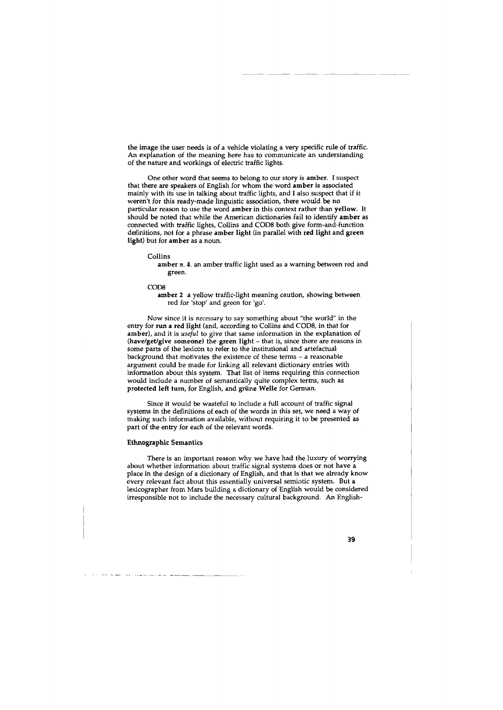the image the user needs is of a vehicle violating a very specific rule of traffic. An explanation of the meaning here has to communicate an understanding of the nature and workings of electric traffic lights.

One other word that seems to belong to our story is amber. I suspect that there are speakers of English for whom the word amber is associated mainly with its use in talking about traffic lights, and I also suspect that if it weren't for this ready-made linguistic association, there would be no particular reason to use the word amber in this context rather than yellow. It should be noted that while the American dictionaries fail to identify amber as connected with traffic lights, Collins and CODS both give form-and-function definitions, not for a phrase amber light (in parallel with red light and green light) but for amber as a noun.

#### Collins

amber *n*. 4. an amber traffic light used as a warning between red and green.

#### CODS

amber 2 a yellow traffic-light meaning caution, showing between red for 'stop' and green for 'go'.

Now since it is *necessary* to say something about "the world" in the entry for run a red light (and, according to Collins and CODS, in that for amber), and it is *useful* to give that same information in the explanation of (have/get/give someone) the green light - that is, since there are reasons in some parts of the lexicon to refer to the institutional and artefactual background that motivates the existence of these terms - a reasonable argument could be made for linking all relevant dictionary entries with information about this system. That list of items requiring this connection would include a number of semantically quite complex terms, such as protected left tum, for English, and griine Welle for German.

Since it would be wasteful to include a full account of traffic signal systems in the definitions of each of the words in this set, we need a way of making such information available, without requiring it to be presented as part of the entry for each of the relevant words.

#### Ethnographic Semantics

There is an important reason why we have had the luxury of worrying about whether information about traffic signal systems does or not have a place in the design of a dictionary of English, and that is that we already know every relevant fact about this essentially universal semiotic system. But a lexicographer from Mars building a dictionary of English would be considered irresponsible not to include the necessary cultural background. An English-

| I |  |
|---|--|
|   |  |

- . - ·-- - ---- ------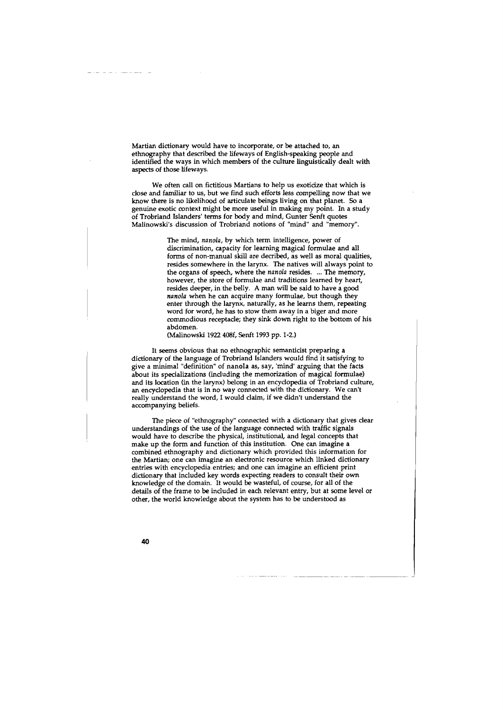Martian dictionary would have to incorporate, or be attached to, an ethnography that described the lifeways of English-speaking people and identified the ways in which members of the culture linguistically dealt with aspects of those lifeways.

We often call on fictitious Martians to help us exoticize that which is close and familiar to us, but we find such efforts less compelling now that we know there is no likelihood of articulate beings living on that planet. So a genuine exotic context might be more useful in making my point. In a study of Trobriand Islanders' terms for body and mind, Gunter Senft quotes Malinowski's discussion of Trobriand notions of "mind" and "memory''.

> The mind, *nanola*, by which term intelligence, power of discrimination, capacity for learning magical formulae and all forms of non-manual skill are decribed, as well as moral qualities, resides somewhere in the larynx. The natives will always point to the organs of speech, where the *nanola* resides. . .. The memory, however, the store of formulae and traditions learned by heart, resides deeper, in the belly. A man will be said to have a good *nano/a* when he can acquire many formulae, but though they enter through the larynx, naturally, as he learns them, repeating word for word, he has to stow them away in a biger and more commodious receptacle; they sink down right to the bottom of his abdomen.

(Malinowski 1922 408f, Senft 1993 pp. 1-2.)

It seems obvious that no ethnographic semanticist preparing a dictionary of the language of Trobriand Islanders would find it satisfying to give a minimal "definition" of nanola as, say, 'mind' arguing that the facts about its specializations (including the memorization of magical formulae) and its location (in the larynx) belong in an encyclopedia of Trobriand culture, an encyclopedia that is in no way connected with the dictionary. We can't really understand the word, I would claim, if we didn't understand the accompanying beliefs.

The piece of "ethnography" connected with a dictionary that gives clear understandings of the use of the language connected with traffic signals would have to describe the physical, institutional, and legal concepts that make up the form and function of this institution. One can imagine a combined ethnography and dictionary which provided this information for the Martian; one can imagine an electronic resource which linked dictionary entries with encyclopedia entries; and one can imagine an efficient print dictionary that included key words expecting readers to consult their own knowledge of the domain. It would be wasteful, of course, for all of the details of the frame to be included in each relevant entry, but at some level or other, the world knowledge about the system has to be understood as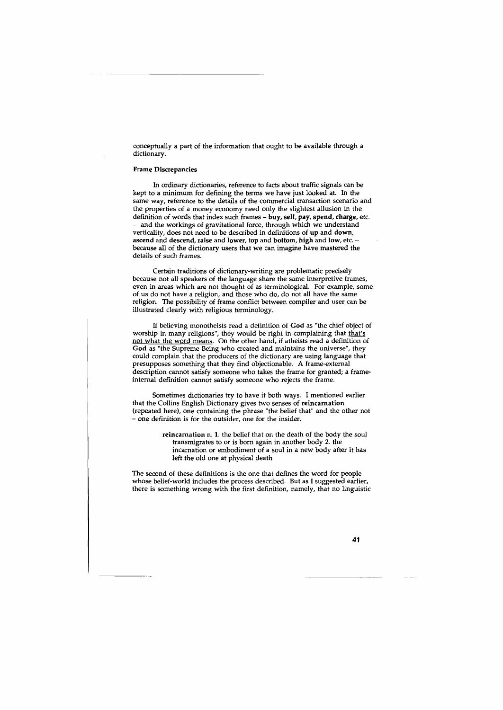conceptually a part of the information that ought to be available through a dictionary.

## Frame Discrepancies

In ordinary dictionaries, reference to facts about traffic signals can be kept to a minimum for defining the terms we have just looked at. In the same way, reference to the details of the commercial transaction scenario and the properties of a money economy need only the slightest allusion in the definition of words that index such frames - buy, sell, pay, spend, charge, etc. - and the workings of gravitational force, through which we understand verticality, does not need to be described in definitions of up and down, ascend and descend, raise and lower, top and bottom, high and low, etc. because all of the dictionary users that we can imagine have mastered the details of such frames.

Certain traditions of dictionary-writing are problematic precisely because not all speakers of the language share the same interpretive frames, even in areas which are not thought of as terminological. For example, some of us do not have a religion, and those who do, do not all have the same religion. The possibility of frame conflict between compiler and user can be illustrated clearly with religious terminology.

If believing monotheists read a definition of God as "the chief object of worship in many religions", they would be right in complaining that that's not what the word means. On the other hand, if atheists read a definition of God as "the Supreme Being who created and maintains the universe", they could complain that the producers of the dictionary are using language that presupposes something that they find objectionable. A frame-external description cannot satisfy someone who takes the frame for granted; a frameinternal definition cannot satisfy someone who rejects the frame.

Sometimes dictionaries try to have it both ways. I mentioned earlier that the Collins English Dictionary gives two senses of reincarnation (repeated here), one containing the phrase "the belief that" and the other not - one definition is for the outsider, one for the insider.

> reincarnation n. 1. the belief that on the death of the body the soul transmigrates to or is born again in another body 2. the incarnation or embodiment of a soul in a new body after it has left the old one at physical death

The second of these definitions is the one that defines the word for people whose belief-world includes the process described. But as I suggested earlier, there is something wrong with the first definition, namely, that no linguistic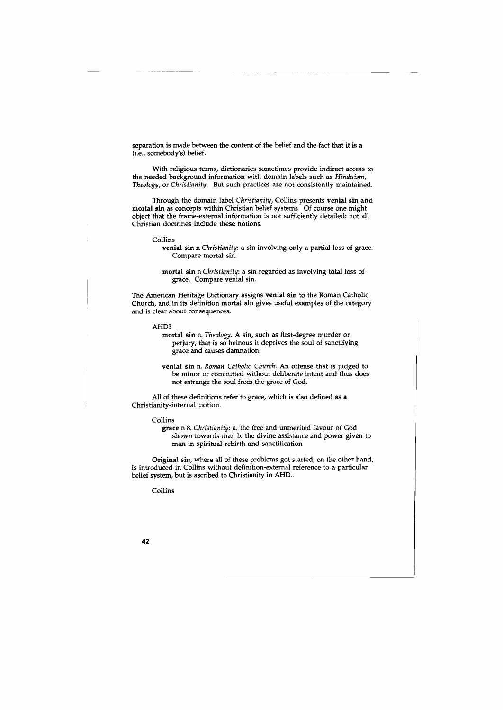separation is made between the content of the belief and the fact that it is a (i.e., somebody's) belief.

With religious terms, dictionaries sometimes provide indirect access to the needed background information with domain labels such as *Hinduism, Theology,* or *Christianity.* But such practices are not consistently maintained.

Through the domain label *Christianity,* Collins presents venial sin and mortal sin as concepts within Christian belief systems. Of course one might object that the frame-external information is not sufficiently detailed: not all Christian doctrines include these notions.

#### Collins

- venial sin n *Christianity:* a sin involving only a partial loss of grace. Compare mortal sin.
- mortal sin n *Christianity:* a sin regarded as involving total loss of grace. Compare venial sin.

The American Heritage Dictionary assigns venial sin to the Roman Catholic Church, and in its definition mortal sin gives useful examples of the category and is clear about consequences.

AHD3

mortal sin n. *Theology.* A sin, such as first-degree murder or perjury, that is so heinous it deprives the soul of sanctifying grace and causes damnation.

venial sin n. *Roman Catholic Church.* An offense that is judged to be minor or committed without deliberate intent and thus does not estrange the soul from the grace of God.

All of these definitions refer to grace, which is also defined as a Christianity-internal notion.

#### Collins

grace n 8. *Christianity:* a. the free and unmerited favour of God shown towards man b. the divine assistance and power given to man in spiritual rebirth and sanctification

Original sin, where all of these problems got started, on the other hand, is introduced in Collins without definition-external reference to a particular belief system, but is ascribed to Christianity in AHD..

Collins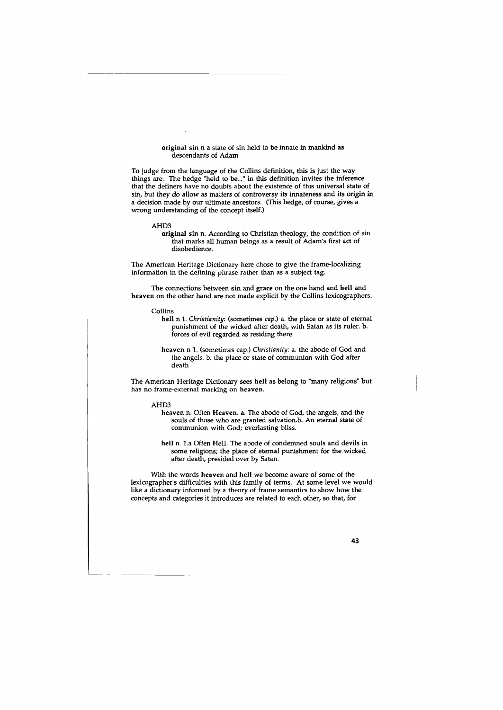#### original sin n a state of sin held to be innate in mankind as descendants of Adam

To judge from the language of the Collins definition, this is just the way things are. The hedge "held to be..." in this definition invites the inference that the definers have no doubts about the existence of this universal state of sin, but they do allow as matters of controversy its innateness and its origin in a decision made by our ultimate ancestors. (This hedge, of course, gives a wrong understanding of the concept itself.)

#### AHD3

original sin n. According to Christian theology, the condition of sin that marks all human beings as a result of Adam's first act of disobedience.

The American Heritage Dictionary here chose to give the frame-localizing information in the defining phrase rather than as a subject tag.

The connections between sin and grace on the one hand and hell and heaven on the other hand are not made explicit by the Collins lexicographers.

Collins

hell n 1. *Christianity:* (sometimes *cap.)* a. the place or state of eternal punishment of the wicked after death, with Satan as its ruler. b. forces of evil regarded as residing there.

heaven n 1. (sometimes cap.) *Christianity:* a. the abode of God and the angels. b. the place or state of communion with God after death

The American Heritage Dictionary sees hell as belong to "many religions" but has no frame-external marking on heaven.

#### AHD3

---------

heaven n. Often Heaven. a. The abode of God, the angels, and the souls of those who are granted salvation.b. An eternal state of communion with God; everlasting bliss.

hell n. 1.a Often Hell. The abode of condemned souls and devils in some religions; the place of eternal punishment for the wicked after death, presided over by Satan.

With the words heaven and hell we become aware of some of the lexicographer's difficulties with this family of terms. At some level we would like a dictionary informed by a theory of frame semantics to show how the concepts and categories it introduces are related to each other, so that, for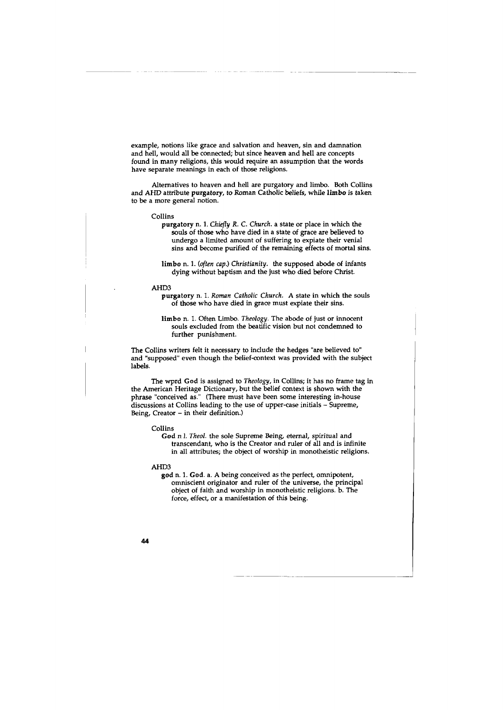example, notions like grace and salvation and heaven, sin and damnation and hell, would all be connected; but since heaven and hell are concepts found in many religions, this would require an assumption that the words have separate meanings in each of those religions.

Alternatives to heaven and hell are purgatory and limbo. Both Collins and AHD attribute purgatory, to Roman Catholic beliefs, while limbo is taken to be a more general notion.

Collins

purgatory n. 1. *Chiefly R.* C. *Church.* a state or place in which the souls of those who have died in a state of grace are believed to undergo a limited amount of suffering to expiate their venial sins and become purified of the remaining effects of mortal sins.

limbo n. 1. *(often cap.) Christianity.* the supposed abode of infants dying without baptism and the just who died before Christ.

#### AHD3

purgatory n. 1. *Roman Catholic Church.* A state in which the souls of those who have died in grace must expiate their sins.

limbo n. 1. Often Limbo. *Theology.* The abode of just or innocent souls excluded from the beatific vision but not condemned to further punishment.

The Collins writers felt it necessary to include the hedges "are believed to" and "supposed" even though the belief-context was provided with the subject labels.

The wprd God is assigned to *Theology,* in Collins; it has no frame tag in the American Heritage Dictionary, but the belief context is shown with the phrase "conceived as." (There must have been some interesting in-house discussions at Collins leading to the use of upper-case initials - Supreme, Being, Creator - in their definition.)

Collins

God n 1. *Theo/.* the sole Supreme Being, eternal, spiritual and transcendant, who is the Creator and ruler of all and is infinite in all attributes; the object of worship in monotheistic religions.

#### AHD3

god n. 1. God. a. A being conceived as the perfect, omnipotent, omniscient originator and ruler of the universe, the principal object of faith and worship in monotheistic religions. b. The force, effect, or a manifestation of this being.

-------------------------------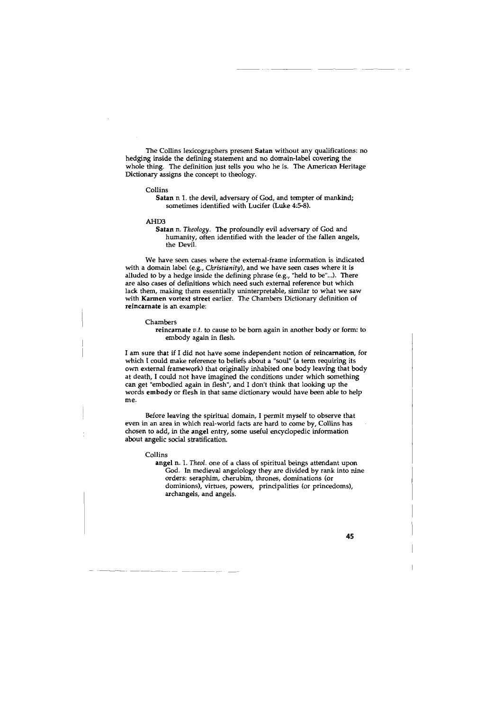The Collins lexicographers present Satan without any qualifications: no hedging inside the defining statement and no domain-label covering the whole thing. The definition just tells you who he is. The American Heritage Dictionary assigns the concept to theology.

#### Collins

Satan n 1. the devil, adversary of God, and tempter of mankind; sometimes identified with Lucifer (Luke 4:5-8).

#### AHD3

Satan n. *Theology.* The profoundly evil adversary of God and humanity, often identified with the leader of the fallen angels, the Devil.

We have seen cases where the external-frame information is indicated with a domain label (e.g., *Christianity),* and we have seen cases where it is alluded to by a hedge inside the defining phrase (e.g., "held to be"...). There are also cases of definitions which need such external reference but which lack them, making them essentially uninterpretable, similar to what we saw with Karmen vortext street earlier. The Chambers Dictionary definition of reincarnate is an example:

#### Chambers

reincarnate *v.t.* to cause to be born again in another body or form: to embody again in flesh.

I am sure that if I did not have some independent notion of reincarnation, for which I could make reference to beliefs about a "soul" (a term requiring its own external framework) that originally inhabited one body leaving that body at death, I could not have imagined the conditions under which something can get "embodied again in flesh", and I don't think that looking up the words embody or flesh in that same dictionary would have been able to help me.

Before leaving the spiritual domain, I permit myself to observe that even in an area in which real-world facts are hard to come by, Collins has chosen to add, in the angel entry, some useful encyclopedic information about angelic social stratification.

#### Collins

angel n. 1. *Theo!.* one of a class of spiritual beings attendant upon God. In medieval angelology they are divided by rank into nine orders: seraphim, cherubim, thrones, dominations (or dominions), virtues, powers, principalities (or princedoms), archangels, and angels.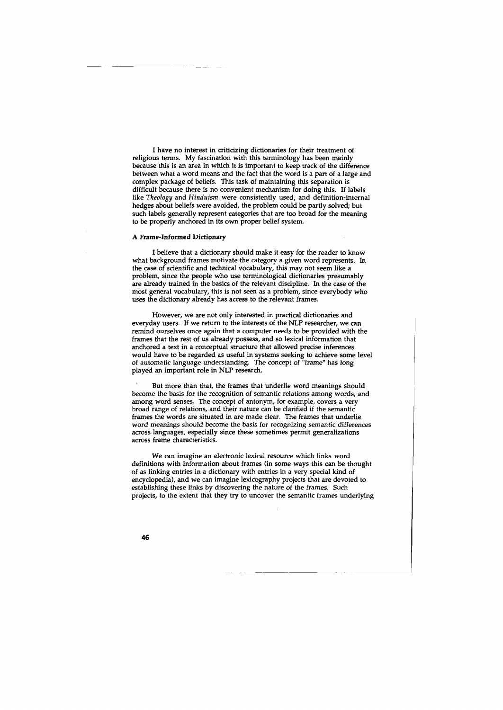I have no interest in criticizing dictionaries for their treatment of religious terms. My fascination with this terminology has been mainly because this is an area in which it is important to keep track of the difference between what a word means and the fact that the word is a part of a large and complex package of beliefs. This task of maintaining this separation is difficult because there is no convenient mechanism for doing this. If labels like *Theology* and *Hinduism* were consistently used, and definition-internal hedges about beliefs were avoided, the problem could be partly solved; but such labels generally represent categories that are too broad for the meaning to be properly anchored in its own proper belief system.

### A Frame-Informed Dictionary

I believe that a dictionary should make it easy for the reader to know what background frames motivate the category a given word represents. In the case of scientific and technical vocabulary, this may not seem like a problem, since the people who use terminological dictionaries presumably are already trained in the basics of the relevant discipline. In the case of the most general vocabulary, this is not seen as a problem, since everybody who uses the dictionary already has access to the relevant frames.

However, we are not only interested in practical dictionaries and everyday users. If we return to the interests of the NLP researcher, we can remind ourselves once again that a computer needs to be provided with the frames that the rest of us already possess, and so lexical information that anchored a text in a conceptual structure that allowed precise inferences would have to be regarded as useful in systems seeking to achieve some level of automatic language understanding. The concept of "frame" has long played an important role in NLP research.

But more than that, the frames that underlie word meanings should become the basis for the recognition of semantic relations among words, and among word senses. The concept of antonym, for example, covers a very broad range of relations, and their nature can be clarified if the semantic frames the words are situated in are made clear. The frames that underlie word meanings should become the basis for recognizing semantic differences across languages, especially since these sometimes permit generalizations across frame characteristics.

*We* can imagine an electronic lexical resource which links word definitions with information about frames (in some ways this can be thought of as linking entries in a dictionary with entries in a very special kind of encyclopedia), and we can imagine lexicography projects that are devoted to establishing these links by discovering the nature of the frames. Such projects, to the extent that they try to uncover the semantic frames underlying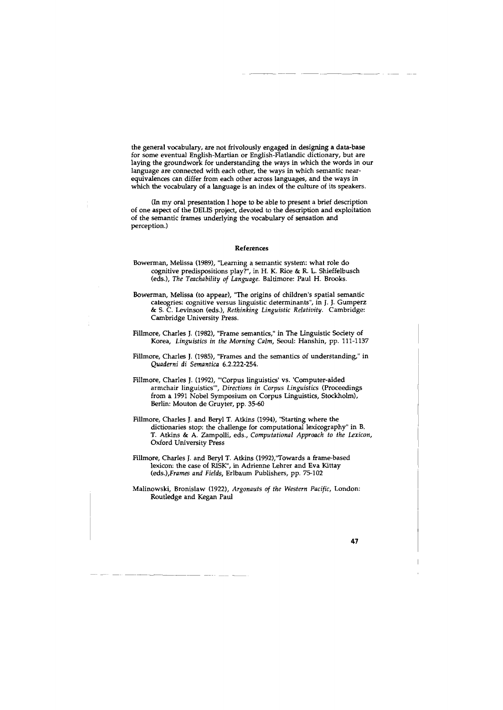the general vocabulary, are not frivolously engaged in designing a data-base for some eventual English-Martian or English-Flatlandic dictionary, but are laying the groundwork for understanding the ways in which the words in our language are connected with each other, the ways in which semantic nearequivalences can differ from each other across languages, and the ways in which the vocabulary of a language is an index of the culture of its speakers.

(In my oral presentation I hope to be able to present a brief description of one aspect of the DELIS project, devoted to the description and exploitation of the semantic frames underlying the vocabulary of sensation and perception.)

#### References

- Bowerman, Melissa (1989), "Learning a semantic system: what role do cognitive predispositions play?", in H. K. Rice & R. L. Shieffelbusch (eds.), *The Teachability of Language.* Baltimore: Paul H. Brooks.
- Bowerman, Melissa (to appear), "The origins of children's spatial semantic cateogries: cognitive versus linguistic determinants", in J. J. Gumperz & S. C. Levinson (eds.), *Rethinking Linguistic Relativity.* Cambridge: Cambridge University Press.
- Fillmore, Charles J. (1982), "Frame semantics," in The Linguistic Society of Korea, *Linguistics in the Morning Calm,* Seoul: Hanshin, pp. 111-1137
- Fillmore, Charles J. (1985), "Frames and the semantics of understanding," in *Quaderni di Semantica* 6.2.222-254.
- Fillmore, Charles J. (1992), "'Corpus linguistics' vs. 'Computer-aided armchair linguistics"', *Directions in Corpus Linguistics* (Proceedings from a 1991 Nobel Symposium on Corpus Linguistics, Stockholm), Berlin: Mouton de Gruyter, pp. 35-60
- Fillmore, Charles J. and Beryl T. Atkins (1994), "Starting where the dictionaries stop: the challenge for computational lexicography" in B. T. Atkins & A. Zampolli, eds., *Computational Approach to the Lexicon,*  Oxford University Press
- Fillmore, Charles J. and Beryl T. Atkins (1992),"Towards a frame-based lexicon: the case of RISK", in Adrienne Lehrer and Eva Kittay *(eds.),Frames and Fields,* Erlbaum Publishers, pp. 75-102

Malinowski, Bronislaw (1922), *Argonauts of the Western Pacific,* London: Routledge and Kegan Paul